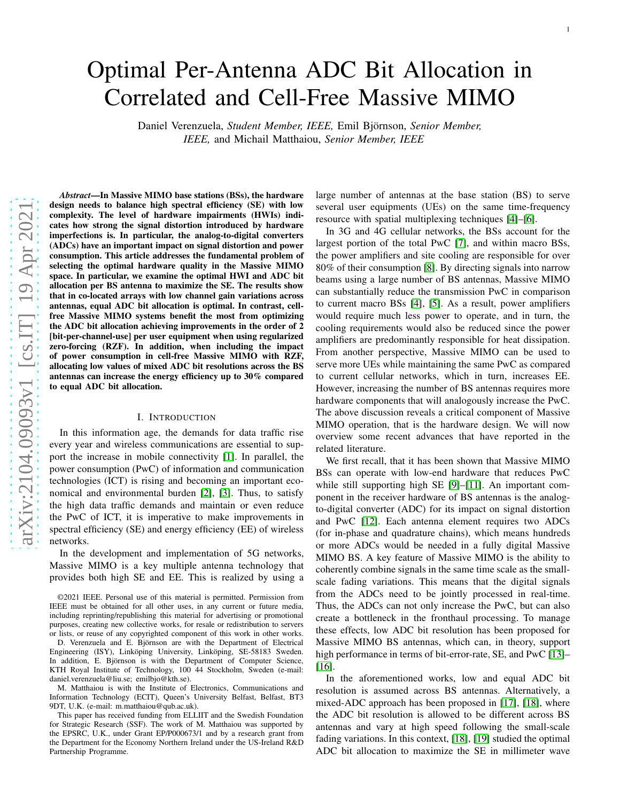# Optimal Per-Antenna ADC Bit Allocation in Correlated and Cell-Free Massive MIMO

Daniel Verenzuela, *Student Member, IEEE,* Emil Björnson, *Senior Member, IEEE,* and Michail Matthaiou, *Senior Member, IEEE*

*Abstract*—In Massive MIMO base stations (BSs), the hardware design needs to balance high spectral efficiency (SE) with lo w complexity. The level of hardware impairments (HWIs) indicates how strong the signal distortion introduced by hardware imperfections is. In particular, the analog-to-digital converters (ADCs) have an important impact on signal distortion and power consumption. This article addresses the fundamental problem of selecting the optimal hardware quality in the Massive MIMO space. In particular, we examine the optimal HWI and ADC bit allocation per BS antenna to maximize the SE. The results sho w that in co-located arrays with low channel gain variations across antennas, equal ADC bit allocation is optimal. In contrast, cellfree Massive MIMO systems benefit the most from optimizing the ADC bit allocation achieving improvements in the order of 2 [bit-per-channel-use] per user equipment when using regularized zero-forcing (RZF). In addition, when including the impact of power consumption in cell-free Massive MIMO with RZF, allocating low values of mixed ADC bit resolutions across the BS antennas can increase the energy efficiency up to 30% compare d to equal ADC bit allocation.

## I. INTRODUCTION

In this information age, the demands for data traffic rise every year and wireless communications are essential to support the increase in mobile connectivity [\[1\]](#page-13-0). In parallel, the power consumption (PwC) of information and communication technologies (ICT) is rising and becoming an important economical and environmental burden [\[2\]](#page-13-1), [\[3\]](#page-13-2). Thus, to satisfy the high data traffic demands and maintain or even reduce the PwC of ICT, it is imperative to make improvements in spectral efficiency (SE) and energy efficiency (EE) of wireless networks.

In the development and implementation of 5G networks, Massive MIMO is a key multiple antenna technology that provides both high SE and EE. This is realized by using a

D. Verenzuela and E. Björnson are with the Department of Electrical Engineering (ISY), Linköping University, Linköping, SE-58183 Sweden. In addition, E. Björnson is with the Department of Computer Science, KTH Royal Institute of Technology, 100 44 Stockholm, Sweden (e-mail: daniel.verenzuela@liu.se; emilbjo@kth.se).

M. Matthaiou is with the Institute of Electronics, Communications and Information Technology (ECIT), Queen's University Belfast, Belfast, BT3 9DT, U.K. (e-mail: m.matthaiou@qub.ac.uk).

This paper has received funding from ELLIIT and the Swedish Foundation for Strategic Research (SSF). The work of M. Matthaiou was supported by the EPSRC, U.K., under Grant EP/P000673/1 and by a research grant from the Department for the Economy Northern Ireland under the US-Ireland R&D Partnership Programme.

large number of antennas at the base station (BS) to serve several user equipments (UEs) on the same time-frequency resource with spatial multiplexing techniques [\[4\]](#page-13-3)–[\[6\]](#page-13-4).

In 3G and 4G cellular networks, the BSs account for the largest portion of the total PwC [\[7\]](#page-13-5), and within macro BSs, the power amplifiers and site cooling are responsible for ove r 80% of their consumption [\[8\]](#page-13-6). By directing signals into narrow beams using a large number of BS antennas, Massive MIMO can substantially reduce the transmission PwC in compariso n to current macro BSs [\[4\]](#page-13-3), [\[5\]](#page-13-7). As a result, power amplifiers would require much less power to operate, and in turn, the cooling requirements would also be reduced since the power amplifiers are predominantly responsible for heat dissipation. From another perspective, Massive MIMO can be used to serve more UEs while maintaining the same PwC as compared to current cellular networks, which in turn, increases EE. However, increasing the number of BS antennas requires more hardware components that will analogously increase the PwC . The above discussion reveals a critical component of Massiv e MIMO operation, that is the hardware design. We will now overview some recent advances that have reported in the related literature.

We first recall, that it has been shown that Massive MIMO BSs can operate with low-end hardware that reduces PwC while still supporting high SE [\[9\]](#page-13-8)–[\[11\]](#page-13-9). An important component in the receiver hardware of BS antennas is the analogto-digital converter (ADC) for its impact on signal distortion and PwC [\[12\]](#page-13-10). Each antenna element requires two ADCs (for in-phase and quadrature chains), which means hundreds or more ADCs would be needed in a fully digital Massive MIMO BS. A key feature of Massive MIMO is the ability to coherently combine signals in the same time scale as the smallscale fading variations. This means that the digital signals from the ADCs need to be jointly processed in real-time. Thus, the ADCs can not only increase the PwC, but can also create a bottleneck in the fronthaul processing. To manage these effects, low ADC bit resolution has been proposed for Massive MIMO BS antennas, which can, in theory, support high performance in terms of bit-error-rate, SE, and PwC [\[13\]](#page-13-11)-[\[16\]](#page-13-12).

In the aforementioned works, low and equal ADC bit resolution is assumed across BS antennas. Alternatively, a mixed-ADC approach has been proposed in [\[17\]](#page-13-13), [\[18\]](#page-13-14), where the ADC bit resolution is allowed to be different across BS antennas and vary at high speed following the small-scale fading variations. In this context, [\[18\]](#page-13-14), [\[19\]](#page-13-15) studied the optimal ADC bit allocation to maximize the SE in millimeter wave

<sup>©2021</sup> IEEE. Personal use of this material is permitted. Permission from IEEE must be obtained for all other uses, in any current or future media, including reprinting/republishing this material for advertising or promotional purposes, creating new collective works, for resale or redistribution to servers or lists, or reuse of any copyrighted component of this work in other works.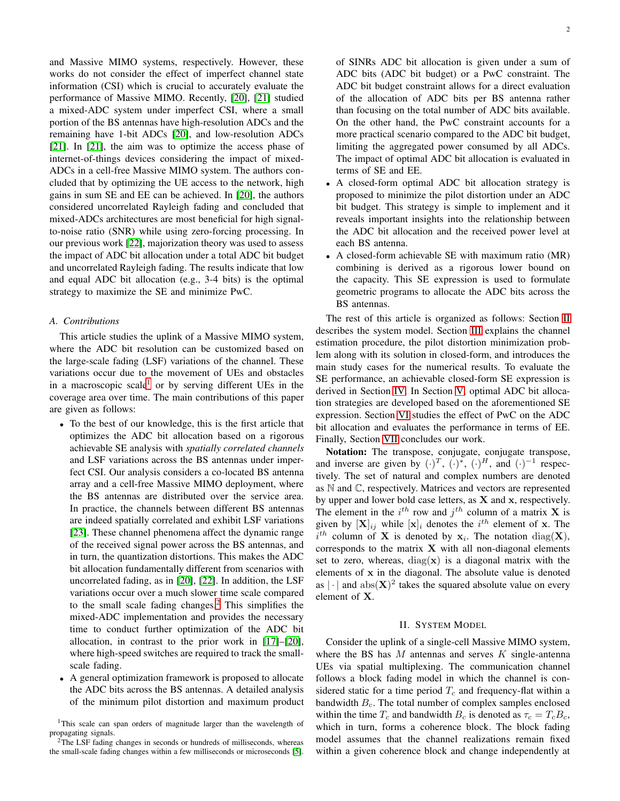and Massive MIMO systems, respectively. However, these works do not consider the effect of imperfect channel state information (CSI) which is crucial to accurately evaluate the performance of Massive MIMO. Recently, [\[20\]](#page-13-16), [\[21\]](#page-13-17) studied a mixed-ADC system under imperfect CSI, where a small portion of the BS antennas have high-resolution ADCs and the remaining have 1-bit ADCs [\[20\]](#page-13-16), and low-resolution ADCs [\[21\]](#page-13-17). In [\[21\]](#page-13-17), the aim was to optimize the access phase of internet-of-things devices considering the impact of mixed-ADCs in a cell-free Massive MIMO system. The authors concluded that by optimizing the UE access to the network, high gains in sum SE and EE can be achieved. In [\[20\]](#page-13-16), the authors considered uncorrelated Rayleigh fading and concluded that mixed-ADCs architectures are most beneficial for high signalto-noise ratio (SNR) while using zero-forcing processing. In our previous work [\[22\]](#page-13-18), majorization theory was used to assess the impact of ADC bit allocation under a total ADC bit budget and uncorrelated Rayleigh fading. The results indicate that low and equal ADC bit allocation (e.g., 3-4 bits) is the optimal strategy to maximize the SE and minimize PwC.

#### *A. Contributions*

This article studies the uplink of a Massive MIMO system, where the ADC bit resolution can be customized based on the large-scale fading (LSF) variations of the channel. These variations occur due to the movement of UEs and obstacles in a macroscopic scale<sup>[1](#page-1-0)</sup> or by serving different UEs in the coverage area over time. The main contributions of this paper are given as follows:

- To the best of our knowledge, this is the first article that optimizes the ADC bit allocation based on a rigorous achievable SE analysis with *spatially correlated channels* and LSF variations across the BS antennas under imperfect CSI. Our analysis considers a co-located BS antenna array and a cell-free Massive MIMO deployment, where the BS antennas are distributed over the service area. In practice, the channels between different BS antennas are indeed spatially correlated and exhibit LSF variations [\[23\]](#page-13-19). These channel phenomena affect the dynamic range of the received signal power across the BS antennas, and in turn, the quantization distortions. This makes the ADC bit allocation fundamentally different from scenarios with uncorrelated fading, as in [\[20\]](#page-13-16), [\[22\]](#page-13-18). In addition, the LSF variations occur over a much slower time scale compared to the small scale fading changes.[2](#page-1-1) This simplifies the mixed-ADC implementation and provides the necessary time to conduct further optimization of the ADC bit allocation, in contrast to the prior work in [\[17\]](#page-13-13)–[\[20\]](#page-13-16), where high-speed switches are required to track the smallscale fading.
- A general optimization framework is proposed to allocate the ADC bits across the BS antennas. A detailed analysis of the minimum pilot distortion and maximum product

<span id="page-1-0"></span><sup>1</sup>This scale can span orders of magnitude larger than the wavelength of propagating signals.

2

of SINRs ADC bit allocation is given under a sum of ADC bits (ADC bit budget) or a PwC constraint. The ADC bit budget constraint allows for a direct evaluation of the allocation of ADC bits per BS antenna rather than focusing on the total number of ADC bits available. On the other hand, the PwC constraint accounts for a more practical scenario compared to the ADC bit budget, limiting the aggregated power consumed by all ADCs. The impact of optimal ADC bit allocation is evaluated in terms of SE and EE.

- A closed-form optimal ADC bit allocation strategy is proposed to minimize the pilot distortion under an ADC bit budget. This strategy is simple to implement and it reveals important insights into the relationship between the ADC bit allocation and the received power level at each BS antenna.
- A closed-form achievable SE with maximum ratio (MR) combining is derived as a rigorous lower bound on the capacity. This SE expression is used to formulate geometric programs to allocate the ADC bits across the BS antennas.

The rest of this article is organized as follows: Section [II](#page-1-2) describes the system model. Section [III](#page-2-0) explains the channel estimation procedure, the pilot distortion minimization problem along with its solution in closed-form, and introduces the main study cases for the numerical results. To evaluate the SE performance, an achievable closed-form SE expression is derived in Section [IV.](#page-4-0) In Section [V,](#page-6-0) optimal ADC bit allocation strategies are developed based on the aforementioned SE expression. Section [VI](#page-10-0) studies the effect of PwC on the ADC bit allocation and evaluates the performance in terms of EE. Finally, Section [VII](#page-11-0) concludes our work.

Notation: The transpose, conjugate, conjugate transpose, and inverse are given by  $(\cdot)^T$ ,  $(\cdot)^*$ ,  $(\cdot)^H$ , and  $(\cdot)^{-1}$  respectively. The set of natural and complex numbers are denoted as N and C, respectively. Matrices and vectors are represented by upper and lower bold case letters, as  $X$  and  $x$ , respectively. The element in the  $i^{th}$  row and  $j^{th}$  column of a matrix **X** is given by  $[\mathbf{X}]_{ij}$  while  $[\mathbf{x}]_i$  denotes the  $i^{th}$  element of x. The  $i^{th}$  column of **X** is denoted by  $x_i$ . The notation diag(**X**), corresponds to the matrix  $X$  with all non-diagonal elements set to zero, whereas,  $diag(x)$  is a diagonal matrix with the elements of x in the diagonal. The absolute value is denoted as  $|\cdot|$  and  $abs(\mathbf{X})^2$  takes the squared absolute value on every element of X.

### II. SYSTEM MODEL

<span id="page-1-2"></span>Consider the uplink of a single-cell Massive MIMO system, where the BS has  $M$  antennas and serves  $K$  single-antenna UEs via spatial multiplexing. The communication channel follows a block fading model in which the channel is considered static for a time period  $T_c$  and frequency-flat within a bandwidth  $B<sub>c</sub>$ . The total number of complex samples enclosed within the time  $T_c$  and bandwidth  $B_c$  is denoted as  $\tau_c = T_c B_c$ , which in turn, forms a coherence block. The block fading model assumes that the channel realizations remain fixed within a given coherence block and change independently at

<span id="page-1-1"></span><sup>&</sup>lt;sup>2</sup>The LSF fading changes in seconds or hundreds of milliseconds, whereas the small-scale fading changes within a few milliseconds or microseconds [\[5\]](#page-13-7).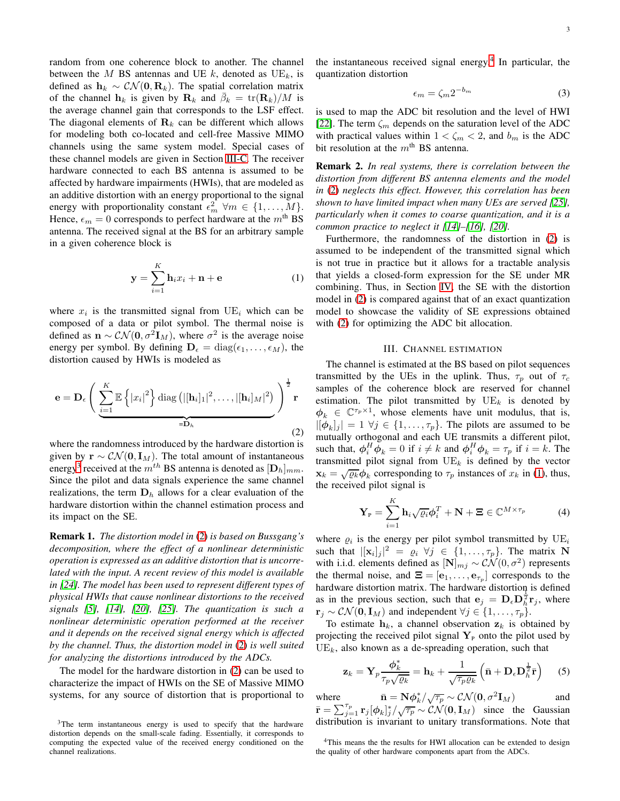random from one coherence block to another. The channel between the M BS antennas and UE k, denoted as  $UE_k$ , is defined as  $h_k \sim \mathcal{CN}(\mathbf{0}, \mathbf{R}_k)$ . The spatial correlation matrix of the channel  $h_k$  is given by  $\mathbf{R}_k$  and  $\bar{\beta}_k = \text{tr}(\mathbf{R}_k)/M$  is the average channel gain that corresponds to the LSF effect. The diagonal elements of  $\mathbf{R}_k$  can be different which allows for modeling both co-located and cell-free Massive MIMO channels using the same system model. Special cases of these channel models are given in Section [III-C.](#page-4-1) The receiver hardware connected to each BS antenna is assumed to be affected by hardware impairments (HWIs), that are modeled as an additive distortion with an energy proportional to the signal energy with proportionality constant  $\epsilon_m^2 \forall m \in \{1, \ldots, M\}.$ Hence,  $\epsilon_m = 0$  corresponds to perfect hardware at the  $m^{\text{th}}$  BS antenna. The received signal at the BS for an arbitrary sample in a given coherence block is

<span id="page-2-4"></span>
$$
\mathbf{y} = \sum_{i=1}^{K} \mathbf{h}_i x_i + \mathbf{n} + \mathbf{e}
$$
 (1)

where  $x_i$  is the transmitted signal from  $UE_i$  which can be composed of a data or pilot symbol. The thermal noise is defined as  $\mathbf{n} \sim \mathcal{CN}(\mathbf{0}, \sigma^2 \mathbf{I}_M)$ , where  $\sigma^2$  is the average noise energy per symbol. By defining  $\mathbf{D}_{\epsilon} = \text{diag}(\epsilon_1, \dots, \epsilon_M)$ , the distortion caused by HWIs is modeled as

<span id="page-2-2"></span>
$$
\mathbf{e} = \mathbf{D}_{\epsilon} \left( \sum_{i=1}^{K} \mathbb{E} \left\{ |x_i|^2 \right\} \text{diag} \left( |[\mathbf{h}_i]_1|^2, \dots, |[\mathbf{h}_i]_M|^2 \right) \right)^{\frac{1}{2}} \mathbf{r}
$$
  
= $\mathbf{D}_h$  (2)

where the randomness introduced by the hardware distortion is given by  $\mathbf{r} \sim \mathcal{CN}(\mathbf{0}, \mathbf{I}_M)$ . The total amount of instantaneous energy<sup>[3](#page-2-1)</sup> received at the  $m^{th}$  BS antenna is denoted as  $[\mathbf{D}_h]_{mm}$ . Since the pilot and data signals experience the same channel realizations, the term  $D<sub>h</sub>$  allows for a clear evaluation of the hardware distortion within the channel estimation process and its impact on the SE.

Remark 1. *The distortion model in* [\(2\)](#page-2-2) *is based on Bussgang's decomposition, where the effect of a nonlinear deterministic operation is expressed as an additive distortion that is uncorrelated with the input. A recent review of this model is available in [\[24\]](#page-13-20). The model has been used to represent different types of physical HWIs that cause nonlinear distortions to the received signals [\[5\]](#page-13-7), [\[14\]](#page-13-21), [\[20\]](#page-13-16), [\[25\]](#page-13-22). The quantization is such a nonlinear deterministic operation performed at the receiver and it depends on the received signal energy which is affected by the channel. Thus, the distortion model in* [\(2\)](#page-2-2) *is well suited for analyzing the distortions introduced by the ADCs.*

The model for the hardware distortion in [\(2\)](#page-2-2) can be used to characterize the impact of HWIs on the SE of Massive MIMO systems, for any source of distortion that is proportional to

the instantaneous received signal energy.<sup>[4](#page-2-3)</sup> In particular, the quantization distortion

<span id="page-2-6"></span>
$$
\epsilon_m = \zeta_m 2^{-b_m} \tag{3}
$$

is used to map the ADC bit resolution and the level of HWI [\[22\]](#page-13-18). The term  $\zeta_m$  depends on the saturation level of the ADC with practical values within  $1 < \zeta_m < 2$ , and  $b_m$  is the ADC bit resolution at the  $m<sup>th</sup>$  BS antenna.

Remark 2. *In real systems, there is correlation between the distortion from different BS antenna elements and the model in* [\(2\)](#page-2-2) *neglects this effect. However, this correlation has been shown to have limited impact when many UEs are served [\[25\]](#page-13-22), particularly when it comes to coarse quantization, and it is a common practice to neglect it [\[14\]](#page-13-21)–[\[16\]](#page-13-12), [\[20\]](#page-13-16).*

Furthermore, the randomness of the distortion in [\(2\)](#page-2-2) is assumed to be independent of the transmitted signal which is not true in practice but it allows for a tractable analysis that yields a closed-form expression for the SE under MR combining. Thus, in Section [IV,](#page-4-0) the SE with the distortion model in [\(2\)](#page-2-2) is compared against that of an exact quantization model to showcase the validity of SE expressions obtained with [\(2\)](#page-2-2) for optimizing the ADC bit allocation.

#### III. CHANNEL ESTIMATION

<span id="page-2-0"></span>The channel is estimated at the BS based on pilot sequences transmitted by the UEs in the uplink. Thus,  $\tau_p$  out of  $\tau_c$ samples of the coherence block are reserved for channel estimation. The pilot transmitted by  $UE_k$  is denoted by  $\phi_k \in \mathbb{C}^{\tau_p \times 1}$ , whose elements have unit modulus, that is,  $|[\phi_k]_j| = 1 \,\forall j \in \{1, \ldots, \tau_p\}.$  The pilots are assumed to be mutually orthogonal and each UE transmits a different pilot, such that,  $\phi_i^H \phi_k = 0$  if  $i \neq k$  and  $\phi_i^H \phi_k = \tau_p$  if  $i = k$ . The transmitted pilot signal from  $UE_k$  is defined by the vector  $\mathbf{x}_k = \sqrt{\varrho_k} \boldsymbol{\phi}_k$  corresponding to  $\tau_p$  instances of  $x_k$  in [\(1\)](#page-2-4), thus, the received pilot signal is

$$
\mathbf{Y}_{P} = \sum_{i=1}^{K} \mathbf{h}_{i} \sqrt{\varrho_{i}} \boldsymbol{\phi}_{i}^{T} + \mathbf{N} + \boldsymbol{\Xi} \in \mathbb{C}^{M \times \tau_{p}}
$$
(4)

where  $\varrho_i$  is the energy per pilot symbol transmitted by  $UE_i$ such that  $|[\mathbf{x}_i]_j|^2 = \varrho_i \ \forall j \in \{1, ..., \tau_p\}$ . The matrix N with i.i.d. elements defined as  $[\mathbf{N}]_{mj} \sim \mathcal{CN}(0, \sigma^2)$  represents the thermal noise, and  $\mathbf{\Xi} = [\mathbf{e}_1, \dots, \mathbf{e}_{\tau_p}]$  corresponds to the hardware distortion matrix. The hardware distortion is defined as in the previous section, such that  $e_j = D_{\epsilon} D_h^{\frac{1}{2}} r_j$ , where  $\mathbf{r}_j \sim \mathcal{CN}(\mathbf{0}, \mathbf{I}_M)$  and independent  $\forall j \in \{1, \ldots, \tau_p\}.$ 

To estimate  $h_k$ , a channel observation  $z_k$  is obtained by projecting the received pilot signal  $Y<sub>P</sub>$  onto the pilot used by  $UE_k$ , also known as a de-spreading operation, such that

<span id="page-2-5"></span>
$$
\mathbf{z}_{k} = \mathbf{Y}_{p} \frac{\boldsymbol{\phi}_{k}^{*}}{\tau_{p} \sqrt{\varrho_{k}}} = \mathbf{h}_{k} + \frac{1}{\sqrt{\tau_{p} \varrho_{k}}} \left( \bar{\mathbf{n}} + \mathbf{D}_{\epsilon} \mathbf{D}_{h}^{\frac{1}{2}} \bar{\mathbf{r}} \right)
$$
 (5)

where  $\bar{\mathbf{n}} = \mathbf{N}\phi_k^*/\sqrt{\tau_p} \sim \mathcal{CN}(\mathbf{0}, \sigma^2 \mathbf{I}_M)$  and  $\bar{\mathbf{r}} = \sum_{j=1}^{\tau_p} \mathbf{r}_j [\phi_k]_j^* / \sqrt{\tau_p} \sim \mathcal{CN}(\mathbf{0}, \mathbf{I}_M)$  since the Gaussian distribution is invariant to unitary transformations. Note that

<span id="page-2-1"></span><sup>&</sup>lt;sup>3</sup>The term instantaneous energy is used to specify that the hardware distortion depends on the small-scale fading. Essentially, it corresponds to computing the expected value of the received energy conditioned on the channel realizations.

<span id="page-2-3"></span><sup>&</sup>lt;sup>4</sup>This means the the results for HWI allocation can be extended to design the quality of other hardware components apart from the ADCs.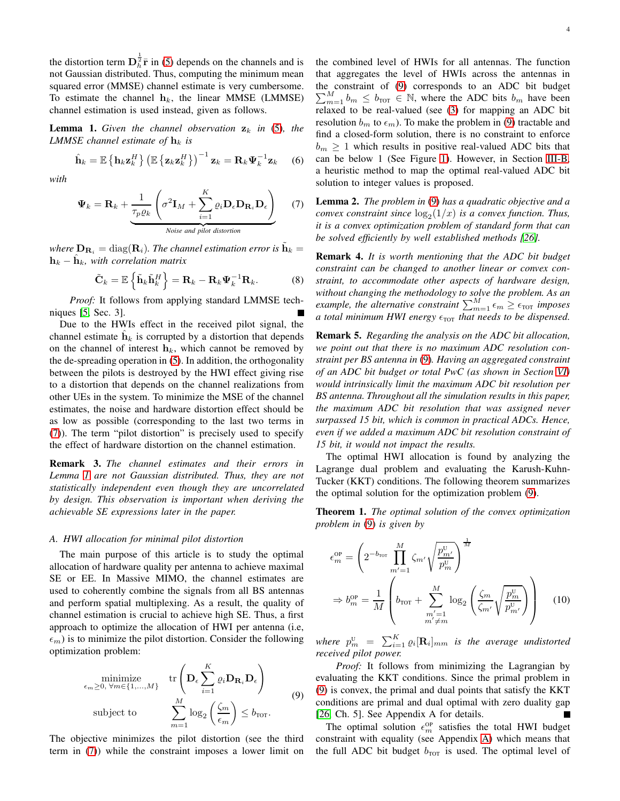the distortion term  $\mathbf{D}_{\hbar}^{\frac{1}{2}}\bar{\mathbf{r}}$  in [\(5\)](#page-2-5) depends on the channels and is not Gaussian distributed. Thus, computing the minimum mean squared error (MMSE) channel estimate is very cumbersome. To estimate the channel  $h_k$ , the linear MMSE (LMMSE) channel estimation is used instead, given as follows.

<span id="page-3-1"></span>**Lemma 1.** Given the channel observation  $z_k$  in [\(5\)](#page-2-5), the *LMMSE channel estimate of*  $\mathbf{h}_k$  *is* 

<span id="page-3-5"></span>
$$
\hat{\mathbf{h}}_k = \mathbb{E}\left\{\mathbf{h}_k \mathbf{z}_k^H\right\} \left(\mathbb{E}\left\{\mathbf{z}_k \mathbf{z}_k^H\right\}\right)^{-1} \mathbf{z}_k = \mathbf{R}_k \boldsymbol{\Psi}_k^{-1} \mathbf{z}_k \quad (6)
$$

*with*

<span id="page-3-0"></span>
$$
\Psi_k = \mathbf{R}_k + \underbrace{\frac{1}{\tau_p \varrho_k} \left( \sigma^2 \mathbf{I}_M + \sum_{i=1}^K \varrho_i \mathbf{D}_\epsilon \mathbf{D}_{\mathbf{R}_i} \mathbf{D}_\epsilon \right)}_{\text{Noise and pilot distortion}}
$$
(7)

where  $\mathbf{D}_{\mathbf{R}_i} = \text{diag}(\mathbf{R}_i)$ . The channel estimation error is  $\tilde{\mathbf{h}}_k =$  $\mathbf{h}_k - \hat{\mathbf{h}}_k$ , with correlation matrix

$$
\tilde{\mathbf{C}}_k = \mathbb{E}\left\{\tilde{\mathbf{h}}_k \tilde{\mathbf{h}}_k^H\right\} = \mathbf{R}_k - \mathbf{R}_k \boldsymbol{\Psi}_k^{-1} \mathbf{R}_k. \tag{8}
$$

*Proof:* It follows from applying standard LMMSE techniques [\[5,](#page-13-7) Sec. 3].

Due to the HWIs effect in the received pilot signal, the channel estimate  $\hat{\mathbf{h}}_k$  is corrupted by a distortion that depends on the channel of interest  $h_k$ , which cannot be removed by the de-spreading operation in [\(5\)](#page-2-5). In addition, the orthogonality between the pilots is destroyed by the HWI effect giving rise to a distortion that depends on the channel realizations from other UEs in the system. To minimize the MSE of the channel estimates, the noise and hardware distortion effect should be as low as possible (corresponding to the last two terms in [\(7\)](#page-3-0)). The term "pilot distortion" is precisely used to specify the effect of hardware distortion on the channel estimation.

Remark 3. *The channel estimates and their errors in Lemma [1](#page-3-1) are not Gaussian distributed. Thus, they are not statistically independent even though they are uncorrelated by design. This observation is important when deriving the achievable SE expressions later in the paper.*

#### <span id="page-3-6"></span>*A. HWI allocation for minimal pilot distortion*

The main purpose of this article is to study the optimal allocation of hardware quality per antenna to achieve maximal SE or EE. In Massive MIMO, the channel estimates are used to coherently combine the signals from all BS antennas and perform spatial multiplexing. As a result, the quality of channel estimation is crucial to achieve high SE. Thus, a first approach to optimize the allocation of HWI per antenna (i.e,  $\epsilon_m$ ) is to minimize the pilot distortion. Consider the following optimization problem:

$$
\underset{\epsilon_{m} \geq 0, \forall m \in \{1, \ldots, M\}}{\text{minimize}} \quad \text{tr}\left(\mathbf{D}_{\epsilon} \sum_{i=1}^{K} \varrho_{i} \mathbf{D}_{\mathbf{R}_{i}} \mathbf{D}_{\epsilon}\right)
$$
\n
$$
\text{subject to} \qquad \sum_{m=1}^{M} \log_{2} \left(\frac{\zeta_{m}}{\epsilon_{m}}\right) \leq b_{\text{TOT}}.\tag{9}
$$

The objective minimizes the pilot distortion (see the third term in [\(7\)](#page-3-0)) while the constraint imposes a lower limit on the combined level of HWIs for all antennas. The function that aggregates the level of HWIs across the antennas in the constraint of [\(9\)](#page-3-2) corresponds to an ADC bit budget  $\sum_{m=1}^{M} b_m \leq b_{\text{TOT}} \in \mathbb{N}$ , where the ADC bits  $b_m$  have been relaxed to be real-valued (see [\(3\)](#page-2-6) for mapping an ADC bit resolution  $b_m$  to  $\epsilon_m$ ). To make the problem in [\(9\)](#page-3-2) tractable and find a closed-form solution, there is no constraint to enforce  $b_m \geq 1$  which results in positive real-valued ADC bits that can be below 1 (See Figure [1\)](#page-5-0). However, in Section [III-B,](#page-4-2) a heuristic method to map the optimal real-valued ADC bit solution to integer values is proposed.

Lemma 2. *The problem in* [\(9\)](#page-3-2) *has a quadratic objective and a convex constraint since*  $\log_2(1/x)$  *is a convex function. Thus, it is a convex optimization problem of standard form that can be solved efficiently by well established methods [\[26\]](#page-13-23).*

Remark 4. *It is worth mentioning that the ADC bit budget constraint can be changed to another linear or convex constraint, to accommodate other aspects of hardware design, without changing the methodology to solve the problem. As an example, the alternative constraint*  $\sum_{m=1}^{M} \epsilon_m \geq \epsilon_{\text{TOT}}$  *imposes a total minimum HWI energy*  $\epsilon_{\text{TOT}}$  *that needs to be dispensed.* 

Remark 5. *Regarding the analysis on the ADC bit allocation, we point out that there is no maximum ADC resolution constraint per BS antenna in* [\(9\)](#page-3-2)*. Having an aggregated constraint of an ADC bit budget or total PwC (as shown in Section [VI\)](#page-10-0) would intrinsically limit the maximum ADC bit resolution per BS antenna. Throughout all the simulation results in this paper, the maximum ADC bit resolution that was assigned never surpassed 15 bit, which is common in practical ADCs. Hence, even if we added a maximum ADC bit resolution constraint of 15 bit, it would not impact the results.*

The optimal HWI allocation is found by analyzing the Lagrange dual problem and evaluating the Karush-Kuhn-Tucker (KKT) conditions. The following theorem summarizes the optimal solution for the optimization problem [\(9\)](#page-3-2).

<span id="page-3-4"></span>Theorem 1. *The optimal solution of the convex optimization problem in* [\(9\)](#page-3-2) *is given by*

<span id="page-3-3"></span>
$$
\epsilon_m^{\rm OP} = \left( 2^{-b_{\rm tot}} \prod_{m'=1}^M \zeta_{m'} \sqrt{\frac{p_{m'}^{\rm U}}{p_m^{\rm U}}} \right)^{\frac{1}{M}}
$$

$$
\Rightarrow b_m^{\rm OP} = \frac{1}{M} \left( b_{\rm tot} + \sum_{\substack{m'=1\\m'\neq m}}^M \log_2 \left( \frac{\zeta_m}{\zeta_{m'}} \sqrt{\frac{p_m^{\rm U}}{p_{m'}^{\rm U}}} \right) \right) \tag{10}
$$

where  $p_{m}^{\text{\tiny U}}$  =  $\sum_{i=1}^{K} \varrho_{i} [\mathbf{R}_{i}]_{mm}$  is the average undistorted *received pilot power.*

<span id="page-3-2"></span>*Proof:* It follows from minimizing the Lagrangian by evaluating the KKT conditions. Since the primal problem in [\(9\)](#page-3-2) is convex, the primal and dual points that satisfy the KKT conditions are primal and dual optimal with zero duality gap [\[26,](#page-13-23) Ch. 5]. See Appendix A for details.

The optimal solution  $\epsilon_m^{\text{OP}}$  satisfies the total HWI budget constraint with equality (see Appendix [A\)](#page-11-1) which means that the full ADC bit budget  $b_{\text{TOT}}$  is used. The optimal level of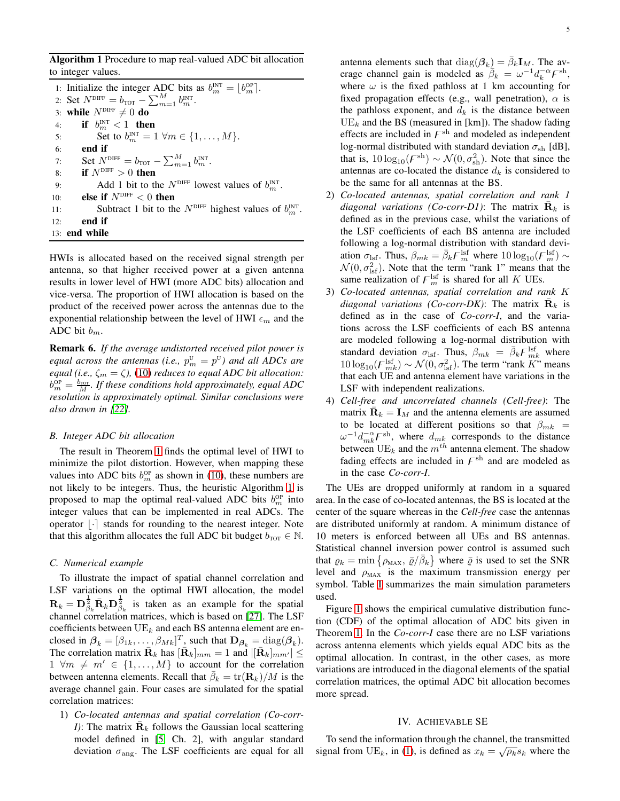<span id="page-4-3"></span>Algorithm 1 Procedure to map real-valued ADC bit allocation to integer values.

1: Initialize the integer ADC bits as  $b_m^{\text{INT}} = \lfloor b_m^{\text{OP}} \rfloor$ . 2: Set  $N^{\text{DIFF}} = b_{\text{TOT}} - \sum_{m=1}^{M} b_m^{\text{INT}}$ . 3: while  $N^{\text{DIFF}} \neq 0$  do<br>4: if  $b_{\text{int}}^{\text{INT}} < 1$  then 4: if  $b_m^{\text{INT}} < 1$  then 5: Set to  $b_m^{\text{INT}} = 1 \ \forall m \in \{1, ..., M\}.$ 6: end if 7: Set  $N^{\text{DIFF}} = b_{\text{TOT}} - \sum_{m=1}^{M} b_m^{\text{INT}}$ . 8: if  $N^{\text{DIFF}} > 0$  then 9: Add 1 bit to the  $N^{\text{DIFF}}$  lowest values of  $b_m^{\text{INT}}$ . 10: **else if**  $N^{\text{DIFF}} < 0$  then 11: Subtract 1 bit to the  $N^{\text{DIFF}}$  highest values of  $b_m^{\text{INT}}$ . 12: end if 13: end while

HWIs is allocated based on the received signal strength per antenna, so that higher received power at a given antenna results in lower level of HWI (more ADC bits) allocation and vice-versa. The proportion of HWI allocation is based on the product of the received power across the antennas due to the exponential relationship between the level of HWI  $\epsilon_m$  and the ADC bit  $b_m$ .

<span id="page-4-4"></span>Remark 6. *If the average undistorted received pilot power is equal across the antennas (i.e.,*  $p_m^{\text{\tiny U}} = p^{\text{\tiny U}}$ ) and all ADCs are *equal (i.e.,*  $\zeta_m = \zeta$ ), [\(10\)](#page-3-3) *reduces to equal ADC bit allocation:*  $b_m^{\text{OP}} = \frac{b_{\text{TOT}}}{M}$ *. If these conditions hold approximately, equal ADC resolution is approximately optimal. Similar conclusions were also drawn in [\[22\]](#page-13-18).*

## <span id="page-4-2"></span>*B. Integer ADC bit allocation*

The result in Theorem [1](#page-3-4) finds the optimal level of HWI to minimize the pilot distortion. However, when mapping these values into ADC bits  $b_m^{\text{OP}}$  as shown in [\(10\)](#page-3-3), these numbers are not likely to be integers. Thus, the heuristic Algorithm [1](#page-4-3) is proposed to map the optimal real-valued ADC bits  $b_m^{\text{OP}}$  into integer values that can be implemented in real ADCs. The operator  $|\cdot|$  stands for rounding to the nearest integer. Note that this algorithm allocates the full ADC bit budget  $b_{\text{TOT}} \in \mathbb{N}$ .

#### <span id="page-4-1"></span>*C. Numerical example*

To illustrate the impact of spatial channel correlation and LSF variations on the optimal HWI allocation, the model  $\mathbf{R}_k = \mathbf{D}_{\beta_k}^{\frac{1}{2}} \mathbf{\bar{R}}_k \mathbf{D}_{\beta_k}^{\frac{1}{2}}$  is taken as an example for the spatial channel correlation matrices, which is based on [\[27\]](#page-13-24). The LSF coefficients between  $UE_k$  and each BS antenna element are enclosed in  $\beta_k = [\beta_{1k}, \dots, \beta_{Mk}]^T$ , such that  $\mathbf{D}_{\beta_k} = \text{diag}(\beta_k)$ . The correlation matrix  $\bar{\mathbf{R}}_k$  has  $[\bar{\mathbf{R}}_k]_{mm} = 1$  and  $|[\bar{\mathbf{R}}_k]_{mm'}| \leq$  $1 \forall m \neq m' \in \{1, \ldots, M\}$  to account for the correlation between antenna elements. Recall that  $\bar{\beta}_k = \text{tr}(\mathbf{R}_k)/M$  is the average channel gain. Four cases are simulated for the spatial correlation matrices:

1) *Co-located antennas and spatial correlation (Co-corr-I*): The matrix  $\bar{\mathbf{R}}_k$  follows the Gaussian local scattering model defined in [\[5,](#page-13-7) Ch. 2], with angular standard deviation  $\sigma_{\text{ang}}$ . The LSF coefficients are equal for all

antenna elements such that  $diag(\beta_k) = \bar{\beta}_k \mathbf{I}_M$ . The average channel gain is modeled as  $\overline{\beta}_k = \omega^{-1} d_k^{-\alpha} F^{\text{sh}}$ , where  $\omega$  is the fixed pathloss at 1 km accounting for fixed propagation effects (e.g., wall penetration),  $\alpha$  is the pathloss exponent, and  $d_k$  is the distance between  $UE_k$  and the BS (measured in [km]). The shadow fading effects are included in  $F^{\text{sh}}$  and modeled as independent log-normal distributed with standard deviation  $\sigma_{\rm sh}$  [dB], that is,  $10 \log_{10}(F^{\text{sh}}) \sim \mathcal{N}(0, \sigma_{\text{sh}}^2)$ . Note that since the antennas are co-located the distance  $d_k$  is considered to be the same for all antennas at the BS.

- 2) *Co-located antennas, spatial correlation and rank 1 diagonal variations (Co-corr-D1)*: The matrix  $\bar{\mathbf{R}}_k$  is defined as in the previous case, whilst the variations of the LSF coefficients of each BS antenna are included following a log-normal distribution with standard deviation  $\sigma_{\rm lsf}$ . Thus,  $\beta_{mk} = \bar{\beta}_k F_m^{\rm lsf}$  where  $10 \log_{10}(F_m^{\rm lsf}) \sim$  $\mathcal{N}(0, \sigma_{\text{lsf}}^2)$ . Note that the term "rank 1" means that the same realization of  $F_m^{\text{lsf}}$  is shared for all K UEs.
- 3) *Co-located antennas, spatial correlation and rank* K *diagonal variations (Co-corr-DK)*: The matrix  $\bar{\mathbf{R}}_k$  is defined as in the case of *Co-corr-I*, and the variations across the LSF coefficients of each BS antenna are modeled following a log-normal distribution with standard deviation  $\sigma_{\rm lsf}$ . Thus,  $\beta_{mk} = \bar{\beta}_k F_{mk}^{\rm lsf}$  where  $10 \log_{10}(F_{mk}^{\text{lsf}}) \sim \mathcal{N}(0, \sigma_{\text{lsf}}^2)$ . The term "rank K" means that each UE and antenna element have variations in the LSF with independent realizations.
- 4) *Cell-free and uncorrelated channels (Cell-free)*: The matrix  $\bar{\mathbf{R}}_k = \mathbf{I}_M$  and the antenna elements are assumed to be located at different positions so that  $\beta_{mk}$  =  $\omega^{-1}d_{mk}^{-\alpha}F^{\text{sh}}$ , where  $d_{mk}$  corresponds to the distance between  $\overline{UE}_k$  and the  $m^{th}$  antenna element. The shadow fading effects are included in  $F^{\text{sh}}$  and are modeled as in the case *Co-corr-I*.

The UEs are dropped uniformly at random in a squared area. In the case of co-located antennas, the BS is located at the center of the square whereas in the *Cell-free* case the antennas are distributed uniformly at random. A minimum distance of 10 meters is enforced between all UEs and BS antennas. Statistical channel inversion power control is assumed such that  $\rho_k = \min \left\{ \rho_{\text{MAX}}, \, \bar{\varrho}/\bar{\beta}_k \right\}$  where  $\bar{\varrho}$  is used to set the SNR level and  $\rho_{MAX}$  is the maximum transmission energy per symbol. Table [I](#page-5-1) summarizes the main simulation parameters used.

Figure [1](#page-5-0) shows the empirical cumulative distribution function (CDF) of the optimal allocation of ADC bits given in Theorem [1.](#page-3-4) In the *Co-corr-I* case there are no LSF variations across antenna elements which yields equal ADC bits as the optimal allocation. In contrast, in the other cases, as more variations are introduced in the diagonal elements of the spatial correlation matrices, the optimal ADC bit allocation becomes more spread.

#### IV. ACHIEVABLE SE

<span id="page-4-0"></span>To send the information through the channel, the transmitted signal from UE<sub>k</sub>, in [\(1\)](#page-2-4), is defined as  $x_k = \sqrt{\rho_k} s_k$  where the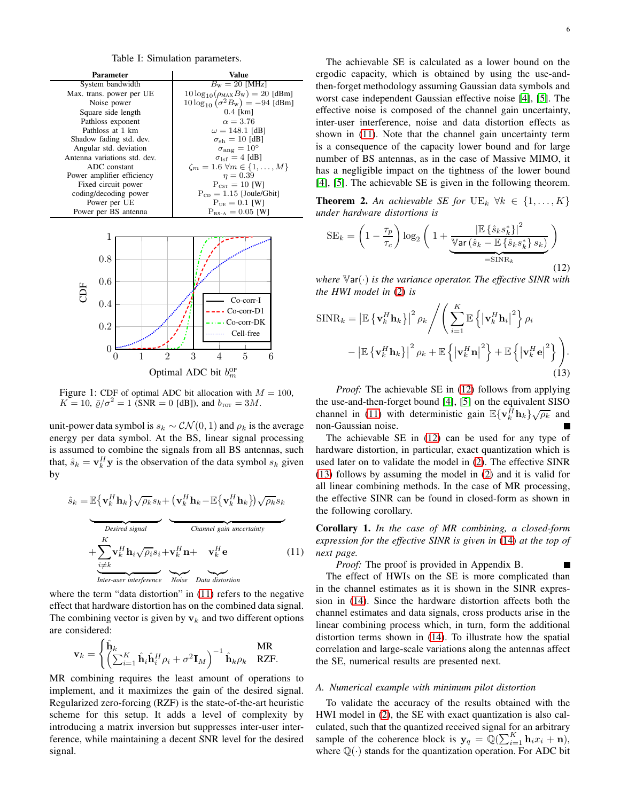Table I: Simulation parameters.

<span id="page-5-1"></span><span id="page-5-0"></span>

Figure 1: CDF of optimal ADC bit allocation with  $M = 100$ ,  $K = 10$ ,  $\bar{\varrho}/\sigma^2 = 1$  (SNR = 0 [dB]), and  $b_{\text{TOT}} = 3M$ .

unit-power data symbol is  $s_k \sim \mathcal{CN}(0, 1)$  and  $\rho_k$  is the average energy per data symbol. At the BS, linear signal processing is assumed to combine the signals from all BS antennas, such that,  $\hat{s}_k = \mathbf{v}_k^H \mathbf{y}$  is the observation of the data symbol  $s_k$  given by

$$
\hat{s}_k = \mathbb{E}\{\mathbf{v}_k^H \mathbf{h}_k\} \sqrt{\rho_k} s_k + (\mathbf{v}_k^H \mathbf{h}_k - \mathbb{E}\{\mathbf{v}_k^H \mathbf{h}_k\}) \sqrt{\rho_k} s_k
$$
\n
$$
\overbrace{\text{Desired signal}\atop \text{if } \mathbf{h}_i \sqrt{\rho_i} s_i + \mathbf{v}_k^H \mathbf{n} + \mathbf{v}_k^H \mathbf{e}}^{\text{Channel gain uncertainty}}
$$
\n
$$
+ \sum_{\substack{i \neq k}}^K \mathbf{v}_k^H \mathbf{h}_i \sqrt{\rho_i} s_i + \mathbf{v}_k^H \mathbf{n} + \mathbf{v}_k^H \mathbf{e} \qquad (11)
$$
\nInter-user interference

\nNoise Data distortion

where the term "data distortion" in [\(11\)](#page-5-2) refers to the negative effect that hardware distortion has on the combined data signal. The combining vector is given by  $v_k$  and two different options are considered:

$$
\mathbf{v}_k = \begin{cases} \hat{\mathbf{h}}_k & \text{MR} \\ \left( \sum_{i=1}^K \hat{\mathbf{h}}_i \hat{\mathbf{h}}_i^H \rho_i + \sigma^2 \mathbf{I}_M \right)^{-1} \hat{\mathbf{h}}_k \rho_k & \text{RZF.} \end{cases}
$$

MR combining requires the least amount of operations to implement, and it maximizes the gain of the desired signal. Regularized zero-forcing (RZF) is the state-of-the-art heuristic scheme for this setup. It adds a level of complexity by introducing a matrix inversion but suppresses inter-user interference, while maintaining a decent SNR level for the desired signal.

The achievable SE is calculated as a lower bound on the ergodic capacity, which is obtained by using the use-andthen-forget methodology assuming Gaussian data symbols and worst case independent Gaussian effective noise [\[4\]](#page-13-3), [\[5\]](#page-13-7). The effective noise is composed of the channel gain uncertainty, inter-user interference, noise and data distortion effects as shown in [\(11\)](#page-5-2). Note that the channel gain uncertainty term is a consequence of the capacity lower bound and for large number of BS antennas, as in the case of Massive MIMO, it has a negligible impact on the tightness of the lower bound [\[4\]](#page-13-3), [\[5\]](#page-13-7). The achievable SE is given in the following theorem.

<span id="page-5-5"></span>**Theorem 2.** An achievable SE for  $UE_k$   $\forall k \in \{1, ..., K\}$ *under hardware distortions is*

<span id="page-5-3"></span>
$$
SE_k = \left(1 - \frac{\tau_p}{\tau_c}\right) \log_2\left(1 + \underbrace{\frac{\left|\mathbb{E}\left\{\hat{s}_k s_k^*\right\}\right|^2}{\mathbb{V}\text{ar}\left(\hat{s}_k - \mathbb{E}\left\{\hat{s}_k s_k^*\right\} s_k\right)}}_{= \text{SINR}_k}\right)
$$
\n(12)

*where* <sup>V</sup>ar(·) *is the variance operator. The effective SINR with the HWI model in* [\(2\)](#page-2-2) *is*

$$
\begin{split} \text{SINR}_{k} &= \left| \mathbb{E} \left\{ \mathbf{v}_{k}^{H} \mathbf{h}_{k} \right\} \right|^{2} \rho_{k} \Bigg/ \Bigg( \sum_{i=1}^{K} \mathbb{E} \left\{ \left| \mathbf{v}_{k}^{H} \mathbf{h}_{i} \right|^{2} \right\} \rho_{i} \\ &- \left| \mathbb{E} \left\{ \mathbf{v}_{k}^{H} \mathbf{h}_{k} \right\} \right|^{2} \rho_{k} + \mathbb{E} \left\{ \left| \mathbf{v}_{k}^{H} \mathbf{n} \right|^{2} \right\} + \mathbb{E} \left\{ \left| \mathbf{v}_{k}^{H} \mathbf{e} \right|^{2} \right\} \Bigg). \end{split} \tag{13}
$$

*Proof:* The achievable SE in [\(12\)](#page-5-3) follows from applying the use-and-then-forget bound [\[4\]](#page-13-3), [\[5\]](#page-13-7) on the equivalent SISO channel in [\(11\)](#page-5-2) with deterministic gain  $\mathbb{E}\{\mathbf{v}_k^{\hat{H}}\mathbf{h}_k\}\sqrt{\rho_k}$  and non-Gaussian noise.

The achievable SE in [\(12\)](#page-5-3) can be used for any type of hardware distortion, in particular, exact quantization which is used later on to validate the model in [\(2\)](#page-2-2). The effective SINR [\(13\)](#page-5-4) follows by assuming the model in [\(2\)](#page-2-2) and it is valid for all linear combining methods. In the case of MR processing, the effective SINR can be found in closed-form as shown in the following corollary.

<span id="page-5-6"></span><span id="page-5-2"></span>Corollary 1. *In the case of MR combining, a closed-form expression for the effective SINR is given in* [\(14\)](#page-6-1) *at the top of next page.*

*Proof:* The proof is provided in Appendix B.

<span id="page-5-4"></span>Г

The effect of HWIs on the SE is more complicated than in the channel estimates as it is shown in the SINR expression in [\(14\)](#page-6-1). Since the hardware distortion affects both the channel estimates and data signals, cross products arise in the linear combining process which, in turn, form the additional distortion terms shown in [\(14\)](#page-6-1). To illustrate how the spatial correlation and large-scale variations along the antennas affect the SE, numerical results are presented next.

### <span id="page-5-7"></span>*A. Numerical example with minimum pilot distortion*

To validate the accuracy of the results obtained with the HWI model in [\(2\)](#page-2-2), the SE with exact quantization is also calculated, such that the quantized received signal for an arbitrary sample of the coherence block is  $y_q = Q(\sum_{i=1}^K h_i x_i + n)$ , where  $\mathbb{Q}(\cdot)$  stands for the quantization operation. For ADC bit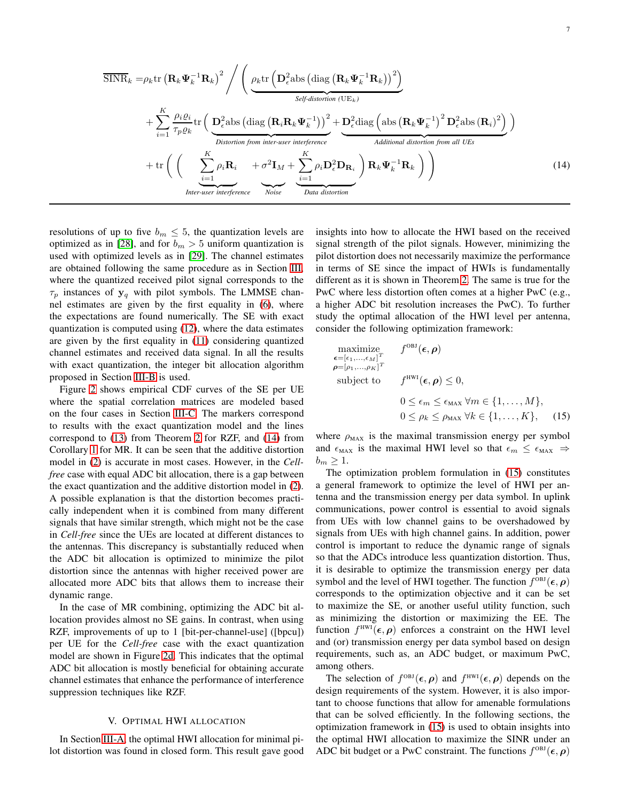$$
\overline{\text{SINR}}_k = \rho_k \text{tr} \left( \mathbf{R}_k \boldsymbol{\Psi}_k^{-1} \mathbf{R}_k \right)^2 / \left( \underbrace{\rho_k \text{tr} \left( \mathbf{D}_\epsilon^2 \text{abs} \left( \text{diag} \left( \mathbf{R}_k \boldsymbol{\Psi}_k^{-1} \mathbf{R}_k \right) \right)^2 \right)}_{\text{Self-distortion (UE}_k)} + \sum_{i=1}^K \frac{\rho_i \varrho_i}{\tau_p \varrho_k} \text{tr} \left( \underbrace{\mathbf{D}_\epsilon^2 \text{abs} \left( \text{diag} \left( \mathbf{R}_i \mathbf{R}_k \boldsymbol{\Psi}_k^{-1} \right) \right)^2 + \mathbf{D}_\epsilon^2 \text{diag} \left( \text{abs} \left( \mathbf{R}_k \boldsymbol{\Psi}_k^{-1} \right)^2 \mathbf{D}_\epsilon^2 \text{abs} \left( \mathbf{R}_i \right)^2 \right)}_{\text{Distortion from inter-user interference}} \right) + \text{tr} \left( \left( \sum_{i=1}^K \rho_i \mathbf{R}_i + \sigma^2 \mathbf{I}_M + \sum_{i=1}^K \rho_i \mathbf{D}_\epsilon^2 \mathbf{D}_{\mathbf{R}_i} \right) \mathbf{R}_k \boldsymbol{\Psi}_k^{-1} \mathbf{R}_k \right) \right)_{\text{Inter-user interference}} \tag{14}
$$

resolutions of up to five  $b_m \leq 5$ , the quantization levels are optimized as in [\[28\]](#page-13-25), and for  $b_m > 5$  uniform quantization is used with optimized levels as in [\[29\]](#page-13-26). The channel estimates are obtained following the same procedure as in Section [III,](#page-2-0) where the quantized received pilot signal corresponds to the  $\tau_p$  instances of  $y_q$  with pilot symbols. The LMMSE channel estimates are given by the first equality in [\(6\)](#page-3-5), where the expectations are found numerically. The SE with exact quantization is computed using [\(12\)](#page-5-3), where the data estimates are given by the first equality in [\(11\)](#page-5-2) considering quantized channel estimates and received data signal. In all the results with exact quantization, the integer bit allocation algorithm proposed in Section [III-B](#page-4-2) is used.

Figure [2](#page-7-0) shows empirical CDF curves of the SE per UE where the spatial correlation matrices are modeled based on the four cases in Section [III-C.](#page-4-1) The markers correspond to results with the exact quantization model and the lines correspond to [\(13\)](#page-5-4) from Theorem [2](#page-5-5) for RZF, and [\(14\)](#page-6-1) from Corollary [1](#page-5-6) for MR. It can be seen that the additive distortion model in [\(2\)](#page-2-2) is accurate in most cases. However, in the *Cellfree* case with equal ADC bit allocation, there is a gap between the exact quantization and the additive distortion model in [\(2\)](#page-2-2). A possible explanation is that the distortion becomes practically independent when it is combined from many different signals that have similar strength, which might not be the case in *Cell-free* since the UEs are located at different distances to the antennas. This discrepancy is substantially reduced when the ADC bit allocation is optimized to minimize the pilot distortion since the antennas with higher received power are allocated more ADC bits that allows them to increase their dynamic range.

In the case of MR combining, optimizing the ADC bit allocation provides almost no SE gains. In contrast, when using RZF, improvements of up to 1 [bit-per-channel-use] ([bpcu]) per UE for the *Cell-free* case with the exact quantization model are shown in Figure [2d.](#page-7-1) This indicates that the optimal ADC bit allocation is mostly beneficial for obtaining accurate channel estimates that enhance the performance of interference suppression techniques like RZF.

## V. OPTIMAL HWI ALLOCATION

<span id="page-6-0"></span>In Section [III-A,](#page-3-6) the optimal HWI allocation for minimal pilot distortion was found in closed form. This result gave good <span id="page-6-1"></span>insights into how to allocate the HWI based on the received signal strength of the pilot signals. However, minimizing the pilot distortion does not necessarily maximize the performance in terms of SE since the impact of HWIs is fundamentally different as it is shown in Theorem [2.](#page-5-5) The same is true for the PwC where less distortion often comes at a higher PwC (e.g., a higher ADC bit resolution increases the PwC). To further study the optimal allocation of the HWI level per antenna, consider the following optimization framework:

<span id="page-6-2"></span>maximize  
\n
$$
\epsilon = [\epsilon_1, ..., \epsilon_M]^T
$$
\n
$$
\rho = [\rho_1, ..., \rho_K]^T
$$
\nsubject to  
\n
$$
f^{\text{HWI}}(\epsilon, \rho) \le 0,
$$
\n
$$
0 \le \epsilon_m \le \epsilon_{\text{MAX}} \forall m \in \{1, ..., M\},
$$
\n
$$
0 \le \rho_k \le \rho_{\text{MAX}} \forall k \in \{1, ..., K\}, \quad (15)
$$

where  $\rho_{MAX}$  is the maximal transmission energy per symbol and  $\epsilon_{\text{MAX}}$  is the maximal HWI level so that  $\epsilon_m \leq \epsilon_{\text{MAX}} \Rightarrow$  $b_m \geq 1$ .

The optimization problem formulation in [\(15\)](#page-6-2) constitutes a general framework to optimize the level of HWI per antenna and the transmission energy per data symbol. In uplink communications, power control is essential to avoid signals from UEs with low channel gains to be overshadowed by signals from UEs with high channel gains. In addition, power control is important to reduce the dynamic range of signals so that the ADCs introduce less quantization distortion. Thus, it is desirable to optimize the transmission energy per data symbol and the level of HWI together. The function  $f^{\text{OBI}}(\epsilon, \rho)$ corresponds to the optimization objective and it can be set to maximize the SE, or another useful utility function, such as minimizing the distortion or maximizing the EE. The function  $f^{\text{HWI}}(\epsilon, \rho)$  enforces a constraint on the HWI level and (or) transmission energy per data symbol based on design requirements, such as, an ADC budget, or maximum PwC, among others.

The selection of  $f^{OBJ}(\epsilon, \rho)$  and  $f^{HWJ}(\epsilon, \rho)$  depends on the design requirements of the system. However, it is also important to choose functions that allow for amenable formulations that can be solved efficiently. In the following sections, the optimization framework in [\(15\)](#page-6-2) is used to obtain insights into the optimal HWI allocation to maximize the SINR under an ADC bit budget or a PwC constraint. The functions  $f^{\text{OBJ}}(\epsilon, \rho)$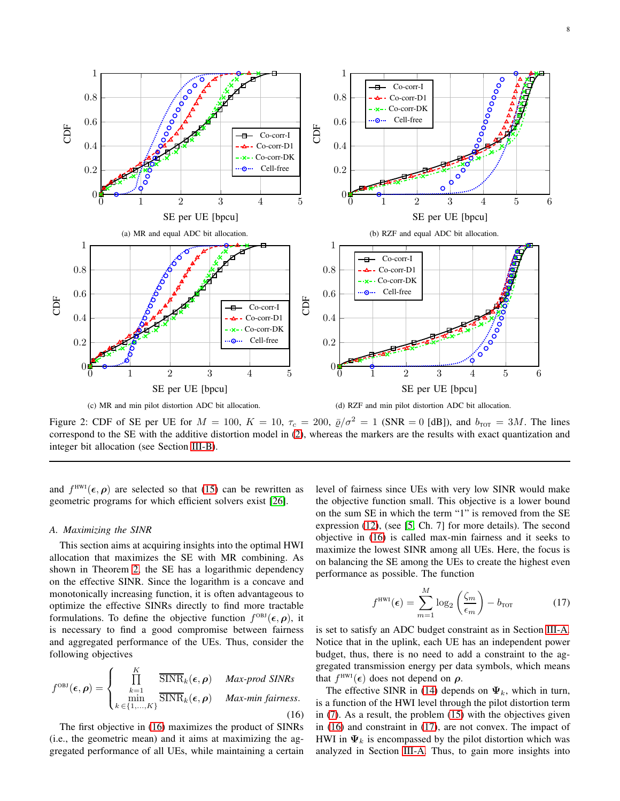8

<span id="page-7-0"></span>

Figure 2: CDF of SE per UE for  $M = 100$ ,  $K = 10$ ,  $\tau_c = 200$ ,  $\bar{\varrho}/\sigma^2 = 1$  (SNR = 0 [dB]), and  $b_{\text{TOT}} = 3M$ . The lines correspond to the SE with the additive distortion model in [\(2\)](#page-2-2), whereas the markers are the results with exact quantization and integer bit allocation (see Section [III-B\)](#page-4-2).

and  $f^{\text{HWI}}(\epsilon, \rho)$  are selected so that [\(15\)](#page-6-2) can be rewritten as geometric programs for which efficient solvers exist [\[26\]](#page-13-23).

#### <span id="page-7-4"></span>*A. Maximizing the SINR*

This section aims at acquiring insights into the optimal HWI allocation that maximizes the SE with MR combining. As shown in Theorem [2,](#page-5-5) the SE has a logarithmic dependency on the effective SINR. Since the logarithm is a concave and monotonically increasing function, it is often advantageous to optimize the effective SINRs directly to find more tractable formulations. To define the objective function  $f^{OBJ}(\epsilon, \rho)$ , it is necessary to find a good compromise between fairness and aggregated performance of the UEs. Thus, consider the following objectives

<span id="page-7-2"></span>
$$
f^{\text{OBI}}(\epsilon,\rho) = \begin{cases} \prod_{k=1}^{K} & \overline{\text{SINR}}_k(\epsilon,\rho) & \text{Max-prod SINRs} \\ \min_{k \in \{1,\ldots,K\}} & \overline{\text{SINR}}_k(\epsilon,\rho) & \text{Max-min fairness.} \end{cases}
$$
(16)

The first objective in [\(16\)](#page-7-2) maximizes the product of SINRs (i.e., the geometric mean) and it aims at maximizing the aggregated performance of all UEs, while maintaining a certain <span id="page-7-1"></span>level of fairness since UEs with very low SINR would make the objective function small. This objective is a lower bound on the sum SE in which the term "1" is removed from the SE expression [\(12\)](#page-5-3), (see [\[5,](#page-13-7) Ch. 7] for more details). The second objective in [\(16\)](#page-7-2) is called max-min fairness and it seeks to maximize the lowest SINR among all UEs. Here, the focus is on balancing the SE among the UEs to create the highest even performance as possible. The function

<span id="page-7-3"></span>
$$
f^{\text{HWI}}(\epsilon) = \sum_{m=1}^{M} \log_2 \left(\frac{\zeta_m}{\epsilon_m}\right) - b_{\text{TOT}} \tag{17}
$$

is set to satisfy an ADC budget constraint as in Section [III-A.](#page-3-6) Notice that in the uplink, each UE has an independent power budget, thus, there is no need to add a constraint to the aggregated transmission energy per data symbols, which means that  $f^{\text{HWI}}(\epsilon)$  does not depend on  $\rho$ .

The effective SINR in [\(14\)](#page-6-1) depends on  $\Psi_k$ , which in turn, is a function of the HWI level through the pilot distortion term in [\(7\)](#page-3-0). As a result, the problem [\(15\)](#page-6-2) with the objectives given in [\(16\)](#page-7-2) and constraint in [\(17\)](#page-7-3), are not convex. The impact of HWI in  $\Psi_k$  is encompassed by the pilot distortion which was analyzed in Section [III-A.](#page-3-6) Thus, to gain more insights into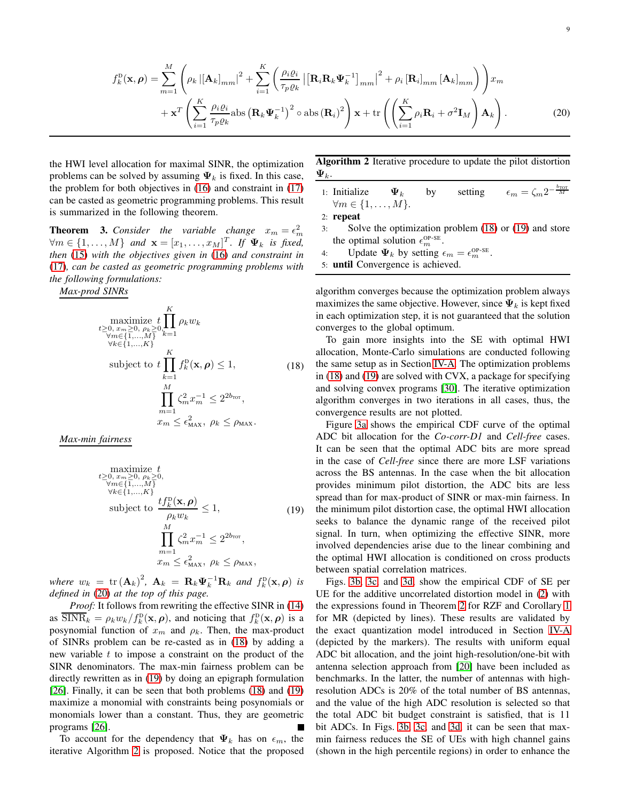$$
f_{k}^{\mathrm{D}}(\mathbf{x}, \boldsymbol{\rho}) = \sum_{m=1}^{M} \left( \rho_{k} \left| \left[ \mathbf{A}_{k} \right]_{mm} \right|^{2} + \sum_{i=1}^{K} \left( \frac{\rho_{i} \varrho_{i}}{\tau_{p} \varrho_{k}} \left| \left[ \mathbf{R}_{i} \mathbf{R}_{k} \boldsymbol{\Psi}_{k}^{-1} \right]_{mm} \right|^{2} + \rho_{i} \left[ \mathbf{R}_{i} \right]_{mm} \left[ \mathbf{A}_{k} \right]_{mm} \right) \right) x_{m} + \mathbf{x}^{T} \left( \sum_{i=1}^{K} \frac{\rho_{i} \varrho_{i}}{\tau_{p} \varrho_{k}} \text{abs} \left( \mathbf{R}_{k} \boldsymbol{\Psi}_{k}^{-1} \right)^{2} \circ \text{abs} \left( \mathbf{R}_{i} \right)^{2} \right) \mathbf{x} + \text{tr} \left( \left( \sum_{i=1}^{K} \rho_{i} \mathbf{R}_{i} + \sigma^{2} \mathbf{I}_{M} \right) \mathbf{A}_{k} \right). \tag{20}
$$

the HWI level allocation for maximal SINR, the optimization problems can be solved by assuming  $\Psi_k$  is fixed. In this case, the problem for both objectives in [\(16\)](#page-7-2) and constraint in [\(17\)](#page-7-3) can be casted as geometric programming problems. This result is summarized in the following theorem.

**Theorem 3.** Consider the variable change  $x_m = \epsilon_m^2$  $\forall m \in \{1, \ldots, M\}$  and  $\mathbf{x} = [x_1, \ldots, x_M]^T$ . If  $\Psi_k$  is fixed, *then* [\(15\)](#page-6-2) *with the objectives given in* [\(16\)](#page-7-2) *and constraint in* [\(17\)](#page-7-3)*, can be casted as geometric programming problems with the following formulations:*

*Max-prod SINRs*

<span id="page-8-1"></span>maximize 
$$
t
$$
  $\prod_{0,\,x_m\geq 0, \,\rho_k\geq 0, k=1}^K \rho_k w_k$   
\n $\forall m \in \{1,\dots,M\}$   
\n $\forall k \in \{1,\dots,K\}$   
\nsubject to  $t$   $\prod_{k=1}^K f_k^D(\mathbf{x}, \rho) \leq 1,$  (18)  
\n $\prod_{m=1}^M \zeta_m^2 x_m^{-1} \leq 2^{2b_{\text{rot}}},$   
\n $x_m \leq \epsilon_{\text{MAX}}^2, \rho_k \leq \rho_{\text{MAX}}.$ 

*Max-min fairness*

<span id="page-8-2"></span>maximize 
$$
t
$$
  
\n $t \ge 0, x_m \ge 0, \rho_k \ge 0,$   
\n $\forall m \in \{1, ..., M\}$   
\n $\forall k \in \{1, ..., K\}$   
\nsubject to 
$$
\frac{tf_k^D(\mathbf{x}, \boldsymbol{\rho})}{\rho_k w_k} \le 1,
$$
  
\n
$$
\prod_{m=1}^M \zeta_m^2 x_m^{-1} \le 2^{2b_{\text{TOT}}},
$$
  
\n $x_m \le \epsilon_{\text{MAX}}^2, \rho_k \le \rho_{\text{MAX}},$  (19)

*where*  $w_k = \text{tr}(\mathbf{A}_k)^2$ ,  $\mathbf{A}_k = \mathbf{R}_k \mathbf{\Psi}_k^{-1} \mathbf{R}_k$  and  $f_k^{\text{D}}(\mathbf{x}, \boldsymbol{\rho})$  *is defined in* [\(20\)](#page-8-0) *at the top of this page.*

*Proof:* It follows from rewriting the effective SINR in [\(14\)](#page-6-1) as SIN $R_k = \rho_k w_k / f_k^{\text{D}}(\mathbf{x}, \rho)$ , and noticing that  $f_k^{\text{D}}(\mathbf{x}, \rho)$  is a posynomial function of  $x_m$  and  $\rho_k$ . Then, the max-product of SINRs problem can be re-casted as in [\(18\)](#page-8-1) by adding a new variable  $t$  to impose a constraint on the product of the SINR denominators. The max-min fairness problem can be directly rewritten as in [\(19\)](#page-8-2) by doing an epigraph formulation [\[26\]](#page-13-23). Finally, it can be seen that both problems [\(18\)](#page-8-1) and [\(19\)](#page-8-2) maximize a monomial with constraints being posynomials or monomials lower than a constant. Thus, they are geometric programs [\[26\]](#page-13-23).

To account for the dependency that  $\Psi_k$  has on  $\epsilon_m$ , the iterative Algorithm [2](#page-8-3) is proposed. Notice that the proposed <span id="page-8-3"></span><span id="page-8-0"></span>Algorithm 2 Iterative procedure to update the pilot distortion  $\mathbf{\Psi}_k.$ 

1: Initialize  $\Psi_k$  by setting  $-\frac{b_{\text{TOT}}}{M}$  $\forall m \in \{1, \ldots, M\}.$ 

2: repeat

- 3: Solve the optimization problem [\(18\)](#page-8-1) or [\(19\)](#page-8-2) and store the optimal solution  $\epsilon_m^{\text{OP-SE}}$ .
- 4: Update  $\Psi_k$  by setting  $\epsilon_m = \epsilon_m^{\text{OP-SE}}$ .
- 5: until Convergence is achieved.

algorithm converges because the optimization problem always maximizes the same objective. However, since  $\Psi_k$  is kept fixed in each optimization step, it is not guaranteed that the solution converges to the global optimum.

To gain more insights into the SE with optimal HWI allocation, Monte-Carlo simulations are conducted following the same setup as in Section [IV-A.](#page-5-7) The optimization problems in [\(18\)](#page-8-1) and [\(19\)](#page-8-2) are solved with CVX, a package for specifying and solving convex programs [\[30\]](#page-13-27). The iterative optimization algorithm converges in two iterations in all cases, thus, the convergence results are not plotted.

Figure [3a](#page-9-0) shows the empirical CDF curve of the optimal ADC bit allocation for the *Co-corr-D1* and *Cell-free* cases. It can be seen that the optimal ADC bits are more spread in the case of *Cell-free* since there are more LSF variations across the BS antennas. In the case when the bit allocation provides minimum pilot distortion, the ADC bits are less spread than for max-product of SINR or max-min fairness. In the minimum pilot distortion case, the optimal HWI allocation seeks to balance the dynamic range of the received pilot signal. In turn, when optimizing the effective SINR, more involved dependencies arise due to the linear combining and the optimal HWI allocation is conditioned on cross products between spatial correlation matrices.

Figs. [3b,](#page-9-1) [3c,](#page-9-2) and [3d,](#page-9-3) show the empirical CDF of SE per UE for the additive uncorrelated distortion model in [\(2\)](#page-2-2) with the expressions found in Theorem [2](#page-5-5) for RZF and Corollary [1](#page-5-6) for MR (depicted by lines). These results are validated by the exact quantization model introduced in Section [IV-A](#page-5-7) (depicted by the markers). The results with uniform equal ADC bit allocation, and the joint high-resolution/one-bit with antenna selection approach from [\[20\]](#page-13-16) have been included as benchmarks. In the latter, the number of antennas with highresolution ADCs is 20% of the total number of BS antennas, and the value of the high ADC resolution is selected so that the total ADC bit budget constraint is satisfied, that is 11 bit ADCs. In Figs. [3b,](#page-9-1) [3c,](#page-9-2) and [3d,](#page-9-3) it can be seen that maxmin fairness reduces the SE of UEs with high channel gains (shown in the high percentile regions) in order to enhance the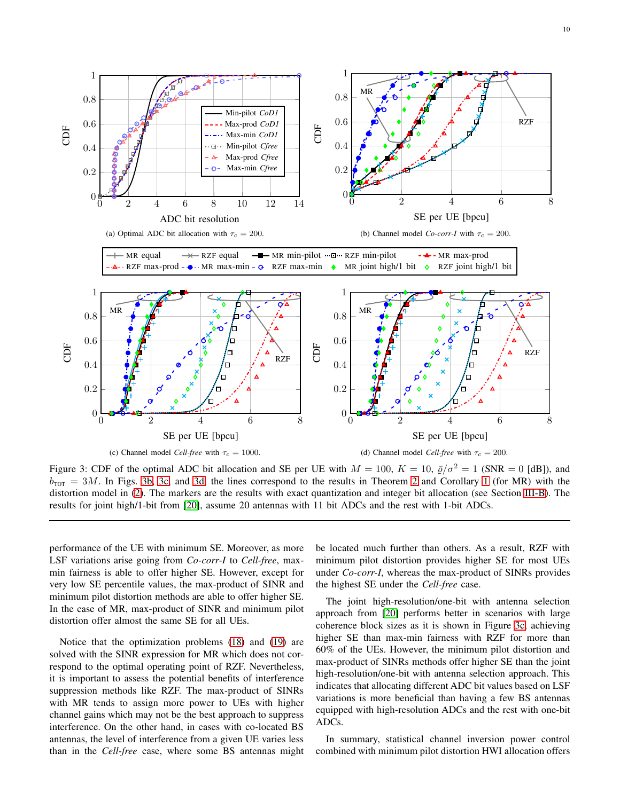10

<span id="page-9-4"></span><span id="page-9-1"></span><span id="page-9-0"></span>

<span id="page-9-2"></span>Figure 3: CDF of the optimal ADC bit allocation and SE per UE with  $M = 100$ ,  $K = 10$ ,  $\bar{\varrho}/\sigma^2 = 1$  (SNR = 0 [dB]), and  $b_{\text{TOT}} = 3M$ . In Figs. [3b,](#page-9-1) [3c,](#page-9-2) and [3d,](#page-9-3) the lines correspond to the results in Theorem [2](#page-5-5) and Corollary [1](#page-5-6) (for MR) with the distortion model in [\(2\)](#page-2-2). The markers are the results with exact quantization and integer bit allocation (see Section [III-B\)](#page-4-2). The results for joint high/1-bit from [\[20\]](#page-13-16), assume 20 antennas with 11 bit ADCs and the rest with 1-bit ADCs.

performance of the UE with minimum SE. Moreover, as more LSF variations arise going from *Co-corr-I* to *Cell-free*, maxmin fairness is able to offer higher SE. However, except for very low SE percentile values, the max-product of SINR and minimum pilot distortion methods are able to offer higher SE. In the case of MR, max-product of SINR and minimum pilot distortion offer almost the same SE for all UEs.

Notice that the optimization problems [\(18\)](#page-8-1) and [\(19\)](#page-8-2) are solved with the SINR expression for MR which does not correspond to the optimal operating point of RZF. Nevertheless, it is important to assess the potential benefits of interference suppression methods like RZF. The max-product of SINRs with MR tends to assign more power to UEs with higher channel gains which may not be the best approach to suppress interference. On the other hand, in cases with co-located BS antennas, the level of interference from a given UE varies less than in the *Cell-free* case, where some BS antennas might <span id="page-9-3"></span>be located much further than others. As a result, RZF with minimum pilot distortion provides higher SE for most UEs under *Co-corr-I*, whereas the max-product of SINRs provides the highest SE under the *Cell-free* case.

The joint high-resolution/one-bit with antenna selection approach from [\[20\]](#page-13-16) performs better in scenarios with large coherence block sizes as it is shown in Figure [3c,](#page-9-2) achieving higher SE than max-min fairness with RZF for more than 60% of the UEs. However, the minimum pilot distortion and max-product of SINRs methods offer higher SE than the joint high-resolution/one-bit with antenna selection approach. This indicates that allocating different ADC bit values based on LSF variations is more beneficial than having a few BS antennas equipped with high-resolution ADCs and the rest with one-bit ADCs.

In summary, statistical channel inversion power control combined with minimum pilot distortion HWI allocation offers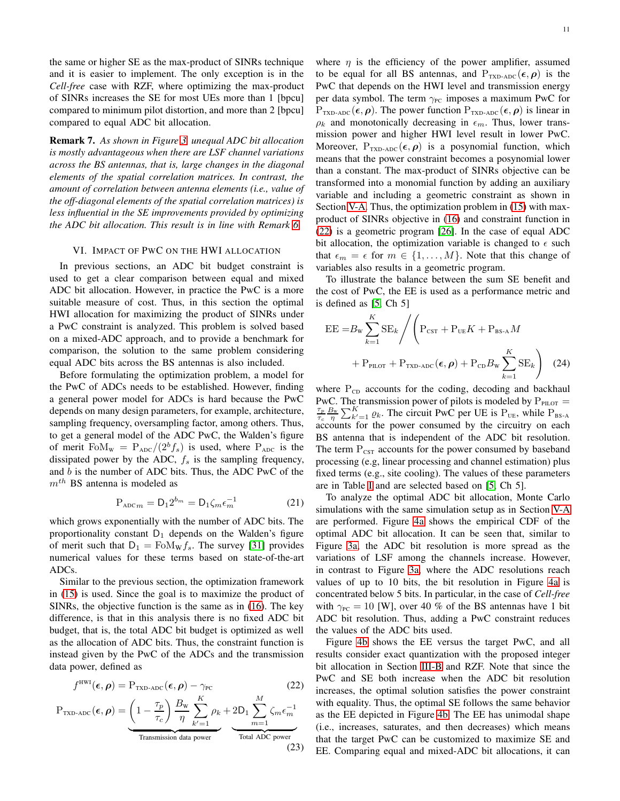the same or higher SE as the max-product of SINRs technique and it is easier to implement. The only exception is in the *Cell-free* case with RZF, where optimizing the max-product of SINRs increases the SE for most UEs more than 1 [bpcu] compared to minimum pilot distortion, and more than 2 [bpcu] compared to equal ADC bit allocation.

Remark 7. *As shown in Figure [3,](#page-9-4) unequal ADC bit allocation is mostly advantageous when there are LSF channel variations across the BS antennas, that is, large changes in the diagonal elements of the spatial correlation matrices. In contrast, the amount of correlation between antenna elements (i.e., value of the off-diagonal elements of the spatial correlation matrices) is less influential in the SE improvements provided by optimizing the ADC bit allocation. This result is in line with Remark [6.](#page-4-4)*

### <span id="page-10-0"></span>VI. IMPACT OF PWC ON THE HWI ALLOCATION

In previous sections, an ADC bit budget constraint is used to get a clear comparison between equal and mixed ADC bit allocation. However, in practice the PwC is a more suitable measure of cost. Thus, in this section the optimal HWI allocation for maximizing the product of SINRs under a PwC constraint is analyzed. This problem is solved based on a mixed-ADC approach, and to provide a benchmark for comparison, the solution to the same problem considering equal ADC bits across the BS antennas is also included.

Before formulating the optimization problem, a model for the PwC of ADCs needs to be established. However, finding a general power model for ADCs is hard because the PwC depends on many design parameters, for example, architecture, sampling frequency, oversampling factor, among others. Thus, to get a general model of the ADC PwC, the Walden's figure of merit Fo $M_w = P_{ADC}/(2^b f_s)$  is used, where  $P_{ADC}$  is the dissipated power by the ADC,  $f_s$  is the sampling frequency, and  $b$  is the number of ADC bits. Thus, the ADC PwC of the  $m<sup>th</sup>$  BS antenna is modeled as

$$
P_{\text{ADC}m} = D_1 2^{b_m} = D_1 \zeta_m \epsilon_m^{-1}
$$
 (21)

which grows exponentially with the number of ADC bits. The proportionality constant  $D_1$  depends on the Walden's figure of merit such that  $D_1 = \text{FoM}_w f_s$ . The survey [\[31\]](#page-13-28) provides numerical values for these terms based on state-of-the-art ADCs.

Similar to the previous section, the optimization framework in [\(15\)](#page-6-2) is used. Since the goal is to maximize the product of SINRs, the objective function is the same as in [\(16\)](#page-7-2). The key difference, is that in this analysis there is no fixed ADC bit budget, that is, the total ADC bit budget is optimized as well as the allocation of ADC bits. Thus, the constraint function is instead given by the PwC of the ADCs and the transmission data power, defined as

$$
f^{\text{HWI}}(\epsilon, \rho) = P_{\text{TXD-ADC}}(\epsilon, \rho) - \gamma_{\text{PC}} \qquad (22)
$$

$$
P_{\text{TXD-ADC}}(\epsilon, \rho) = \underbrace{\left(1 - \frac{\tau_p}{\tau_c}\right) \frac{B_{\text{W}}}{\eta} \sum_{k'=1}^{K} \rho_k}_{\text{Transmission data power}} + 2D_1 \sum_{m=1}^{M} \zeta_m \epsilon_m^{-1}}_{\text{Total ADC power}}
$$

(23)

where  $\eta$  is the efficiency of the power amplifier, assumed to be equal for all BS antennas, and  $P_{TxD-ADC}(\epsilon, \rho)$  is the PwC that depends on the HWI level and transmission energy per data symbol. The term  $\gamma_{PC}$  imposes a maximum PwC for  $P_{TXD\text{-}ADC}(\epsilon, \rho)$ . The power function  $P_{TXD\text{-}ADC}(\epsilon, \rho)$  is linear in  $\rho_k$  and monotonically decreasing in  $\epsilon_m$ . Thus, lower transmission power and higher HWI level result in lower PwC. Moreover,  $P_{TXD\text{-}ADC}(\epsilon, \rho)$  is a posynomial function, which means that the power constraint becomes a posynomial lower than a constant. The max-product of SINRs objective can be transformed into a monomial function by adding an auxiliary variable and including a geometric constraint as shown in Section [V-A.](#page-7-4) Thus, the optimization problem in [\(15\)](#page-6-2) with maxproduct of SINRs objective in [\(16\)](#page-7-2) and constraint function in [\(22\)](#page-10-1) is a geometric program [\[26\]](#page-13-23). In the case of equal ADC bit allocation, the optimization variable is changed to  $\epsilon$  such that  $\epsilon_m = \epsilon$  for  $m \in \{1, \ldots, M\}$ . Note that this change of variables also results in a geometric program.

To illustrate the balance between the sum SE benefit and the cost of PwC, the EE is used as a performance metric and is defined as [\[5,](#page-13-7) Ch 5]

$$
EE = B_{\rm w} \sum_{k=1}^{K} SE_k / \left( P_{\rm CST} + P_{\rm UE} K + P_{\rm BS-A} M + P_{\rm PLOT} + P_{\rm TXD-ADC} (\epsilon, \rho) + P_{\rm CD} B_{\rm w} \sum_{k=1}^{K} SE_k \right) \tag{24}
$$

where  $P_{CD}$  accounts for the coding, decoding and backhaul PwC. The transmission power of pilots is modeled by  $P_{PLOT}$  =  $\tau_p$  $\frac{\tau_p}{\tau_c} \frac{B_w}{\eta} \sum_{k'=1}^K \varrho_k$ . The circuit PwC per UE is  $P_{UE}$ , while  $P_{BS-A}$ accounts for the power consumed by the circuitry on each BS antenna that is independent of the ADC bit resolution. The term  $P_{CST}$  accounts for the power consumed by baseband processing (e.g, linear processing and channel estimation) plus fixed terms (e.g., site cooling). The values of these parameters are in Table [I](#page-5-1) and are selected based on [\[5,](#page-13-7) Ch 5].

To analyze the optimal ADC bit allocation, Monte Carlo simulations with the same simulation setup as in Section [V-A](#page-7-4) are performed. Figure [4a](#page-11-2) shows the empirical CDF of the optimal ADC bit allocation. It can be seen that, similar to Figure [3a,](#page-9-0) the ADC bit resolution is more spread as the variations of LSF among the channels increase. However, in contrast to Figure [3a,](#page-9-0) where the ADC resolutions reach values of up to 10 bits, the bit resolution in Figure [4a](#page-11-2) is concentrated below 5 bits. In particular, in the case of *Cell-free* with  $\gamma_{PC} = 10$  [W], over 40 % of the BS antennas have 1 bit ADC bit resolution. Thus, adding a PwC constraint reduces the values of the ADC bits used.

<span id="page-10-1"></span>Figure [4b](#page-11-3) shows the EE versus the target PwC, and all results consider exact quantization with the proposed integer bit allocation in Section [III-B](#page-4-2) and RZF. Note that since the PwC and SE both increase when the ADC bit resolution increases, the optimal solution satisfies the power constraint with equality. Thus, the optimal SE follows the same behavior as the EE depicted in Figure [4b.](#page-11-3) The EE has unimodal shape (i.e., increases, saturates, and then decreases) which means that the target PwC can be customized to maximize SE and EE. Comparing equal and mixed-ADC bit allocations, it can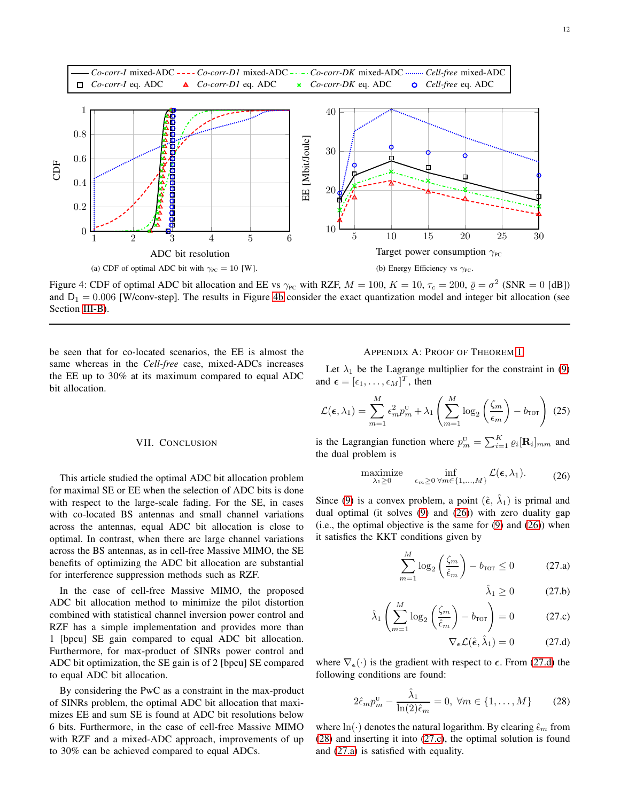<span id="page-11-2"></span>

Figure 4: CDF of optimal ADC bit allocation and EE vs  $\gamma_{PC}$  with RZF,  $M = 100$ ,  $K = 10$ ,  $\tau_c = 200$ ,  $\bar{\varrho} = \sigma^2$  (SNR = 0 [dB]) and  $D_1 = 0.006$  [W/conv-step]. The results in Figure [4b](#page-11-3) consider the exact quantization model and integer bit allocation (see Section [III-B\)](#page-4-2).

be seen that for co-located scenarios, the EE is almost the same whereas in the *Cell-free* case, mixed-ADCs increases the EE up to 30% at its maximum compared to equal ADC bit allocation.

#### VII. CONCLUSION

<span id="page-11-0"></span>This article studied the optimal ADC bit allocation problem for maximal SE or EE when the selection of ADC bits is done with respect to the large-scale fading. For the SE, in cases with co-located BS antennas and small channel variations across the antennas, equal ADC bit allocation is close to optimal. In contrast, when there are large channel variations across the BS antennas, as in cell-free Massive MIMO, the SE benefits of optimizing the ADC bit allocation are substantial for interference suppression methods such as RZF.

In the case of cell-free Massive MIMO, the proposed ADC bit allocation method to minimize the pilot distortion combined with statistical channel inversion power control and RZF has a simple implementation and provides more than 1 [bpcu] SE gain compared to equal ADC bit allocation. Furthermore, for max-product of SINRs power control and ADC bit optimization, the SE gain is of 2 [bpcu] SE compared to equal ADC bit allocation.

By considering the PwC as a constraint in the max-product of SINRs problem, the optimal ADC bit allocation that maximizes EE and sum SE is found at ADC bit resolutions below 6 bits. Furthermore, in the case of cell-free Massive MIMO with RZF and a mixed-ADC approach, improvements of up to 30% can be achieved compared to equal ADCs.

## <span id="page-11-1"></span>APPENDIX A: PROOF OF THEOREM [1](#page-3-4)

<span id="page-11-3"></span>Let  $\lambda_1$  be the Lagrange multiplier for the constraint in [\(9\)](#page-3-2) and  $\boldsymbol{\epsilon} = [\epsilon_1, \dots, \epsilon_M]^T$ , then

$$
\mathcal{L}(\epsilon, \lambda_1) = \sum_{m=1}^{M} \epsilon_m^2 p_m^{\mathrm{U}} + \lambda_1 \left( \sum_{m=1}^{M} \log_2 \left( \frac{\zeta_m}{\epsilon_m} \right) - b_{\text{TOT}} \right) (25)
$$

is the Lagrangian function where  $p_m^{\text{U}} = \sum_{i=1}^{K} \varrho_i [\mathbf{R}_i]_{mm}$  and the dual problem is

$$
\underset{\lambda_1 \geq 0}{\text{maximize}} \quad \underset{\epsilon_m \geq 0 \ \forall m \in \{1, \dots, M\}}{\text{inf}} \mathcal{L}(\epsilon, \lambda_1). \tag{26}
$$

Since [\(9\)](#page-3-2) is a convex problem, a point  $(\hat{\epsilon}, \hat{\lambda}_1)$  is primal and dual optimal (it solves [\(9\)](#page-3-2) and [\(26\)](#page-11-4)) with zero duality gap (i.e., the optimal objective is the same for  $(9)$  and  $(26)$ ) when it satisfies the KKT conditions given by

$$
\sum_{m=1}^{M} \log_2 \left( \frac{\zeta_m}{\hat{\epsilon}_m} \right) - b_{\text{TOT}} \le 0 \tag{27.3}
$$

<span id="page-11-8"></span><span id="page-11-7"></span><span id="page-11-4"></span>
$$
\hat{\lambda}_1 \ge 0 \tag{27.b}
$$

$$
\hat{\lambda}_1 \left( \sum_{m=1}^M \log_2 \left( \frac{\zeta_m}{\hat{\epsilon}_m} \right) - b_{\text{TOT}} \right) = 0 \tag{27.c}
$$

<span id="page-11-5"></span>
$$
\nabla_{\boldsymbol{\epsilon}} \mathcal{L}(\hat{\boldsymbol{\epsilon}}, \hat{\lambda}_1) = 0 \qquad (27. \text{d})
$$

where  $\nabla_{\epsilon}(\cdot)$  is the gradient with respect to  $\epsilon$ . From [\(27.d\)](#page-11-5) the following conditions are found:

<span id="page-11-6"></span>
$$
2\hat{\epsilon}_m p_m^{\text{U}} - \frac{\hat{\lambda}_1}{\ln(2)\hat{\epsilon}_m} = 0, \ \forall m \in \{1, \dots, M\}
$$
 (28)

where  $ln(\cdot)$  denotes the natural logarithm. By clearing  $\hat{\epsilon}_m$  from [\(28\)](#page-11-6) and inserting it into [\(27.c\)](#page-11-7), the optimal solution is found and [\(27.a\)](#page-11-8) is satisfied with equality.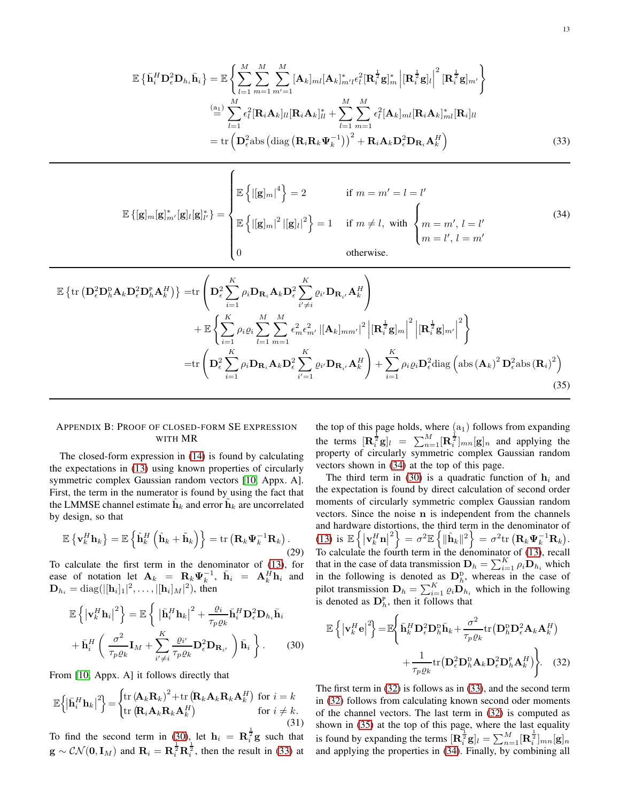$$
\mathbb{E}\left\{\bar{\mathbf{h}}_{i}^{H}\mathbf{D}_{\epsilon}^{2}\mathbf{D}_{h_{i}}\bar{\mathbf{h}}_{i}\right\} = \mathbb{E}\left\{\sum_{l=1}^{M}\sum_{m=1}^{M}\sum_{m'=1}^{M}[\mathbf{A}_{k}]_{ml}[\mathbf{A}_{k}]_{m'l}^{*}\epsilon_{l}^{2}[\mathbf{R}_{i}^{\frac{1}{2}}\mathbf{g}]_{m}\Big| [\mathbf{R}_{i}^{\frac{1}{2}}\mathbf{g}]_{l}\Big|^{2}[\mathbf{R}_{i}^{\frac{1}{2}}\mathbf{g}]_{m'}\right\}
$$
\n
$$
\stackrel{\text{(a)}}{=} \sum_{l=1}^{M}\epsilon_{l}^{2}[\mathbf{R}_{i}\mathbf{A}_{k}]_{ll}[\mathbf{R}_{i}\mathbf{A}_{k}]_{ll}^{*} + \sum_{l=1}^{M}\sum_{m=1}^{M}\epsilon_{l}^{2}[\mathbf{A}_{k}]_{ml}[\mathbf{R}_{i}\mathbf{A}_{k}]_{ml}^{*}[\mathbf{R}_{i}]_{ll}
$$
\n
$$
= \text{tr}\left(\mathbf{D}_{\epsilon}^{2}\text{abs}\left(\text{diag}\left(\mathbf{R}_{i}\mathbf{R}_{k}\mathbf{\Psi}_{k}^{-1}\right)\right)^{2} + \mathbf{R}_{i}\mathbf{A}_{k}\mathbf{D}_{\epsilon}^{2}\mathbf{D}_{\mathbf{R}_{i}}\mathbf{A}_{k}^{H}\right)
$$
\n(33)

$$
\mathbb{E}\left\{[\mathbf{g}]_{m}[\mathbf{g}]_{m'}^{*}[\mathbf{g}]_{l}^{*}[\mathbf{g}]_{l'}^{*}\right\} = \begin{cases}\n\mathbb{E}\left\{ |[\mathbf{g}]_{m}|^{4} \right\} = 2 & \text{if } m = m' = l = l' \\
\mathbb{E}\left\{ |[\mathbf{g}]_{m}|^{2} |[\mathbf{g}]_{l}|^{2} \right\} = 1 & \text{if } m \neq l, \text{ with } \begin{cases}\nm = m', l = l' \\
m = l', l = m'\n\end{cases}\n\end{cases}
$$
\n(34)

$$
\mathbb{E}\left\{\text{tr}\left(\mathbf{D}_{\epsilon}^{2}\mathbf{D}_{h}^{D}\mathbf{A}_{k}\mathbf{D}_{\epsilon}^{2}\mathbf{D}_{h}^{P}\mathbf{A}_{k}^{H}\right)\right\}=\text{tr}\left(\mathbf{D}_{\epsilon}^{2}\sum_{i=1}^{K}\rho_{i}\mathbf{D}_{\mathbf{R}_{i}}\mathbf{A}_{k}\mathbf{D}_{\epsilon}^{2}\sum_{i'=i}^{K}\varrho_{i'}\mathbf{D}_{\mathbf{R}_{i'}}\mathbf{A}_{k}^{H}\right) \n+\mathbb{E}\left\{\sum_{i=1}^{K}\rho_{i}\varrho_{i}\sum_{l=1}^{M}\sum_{m=1}^{M}\epsilon_{m}^{2}\epsilon_{m'}^{2}|\left[\mathbf{A}_{k}\right]_{mm'}|^{2}\left|\left[\mathbf{R}_{i}^{\frac{1}{2}}\mathbf{g}\right]_{m}\right|^{2}\left|\left[\mathbf{R}_{i}^{\frac{1}{2}}\mathbf{g}\right]_{m'}\right|^{2}\right\} \n=\text{tr}\left(\mathbf{D}_{\epsilon}^{2}\sum_{i=1}^{K}\rho_{i}\mathbf{D}_{\mathbf{R}_{i}}\mathbf{A}_{k}\mathbf{D}_{\epsilon}^{2}\sum_{i'=1}^{K}\varrho_{i'}\mathbf{D}_{\mathbf{R}_{i'}}\mathbf{A}_{k}^{H}\right)+\sum_{i=1}^{K}\rho_{i}\varrho_{i}\mathbf{D}_{\epsilon}^{2}\text{diag}\left(\text{abs}\left(\mathbf{A}_{k}\right)^{2}\mathbf{D}_{\epsilon}^{2}\text{abs}\left(\mathbf{R}_{i}\right)^{2}\right)
$$
\n(35)

## APPENDIX B: PROOF OF CLOSED-FORM SE EXPRESSION WITH MR

<span id="page-12-1"></span> $\sqrt{ }$ 

The closed-form expression in [\(14\)](#page-6-1) is found by calculating the expectations in [\(13\)](#page-5-4) using known properties of circularly symmetric complex Gaussian random vectors [\[10,](#page-13-29) Appx. A]. First, the term in the numerator is found by using the fact that the LMMSE channel estimate  $\hat{\mathbf{h}}_k$  and error  $\hat{\mathbf{h}}_k$  are uncorrelated by design, so that

$$
\mathbb{E}\left\{\mathbf{v}_{k}^{H}\mathbf{h}_{k}\right\}=\mathbb{E}\left\{\hat{\mathbf{h}}_{k}^{H}\left(\hat{\mathbf{h}}_{k}+\tilde{\mathbf{h}}_{k}\right)\right\}=\mathrm{tr}\left(\mathbf{R}_{k}\boldsymbol{\Psi}_{k}^{-1}\mathbf{R}_{k}\right).
$$
\n(29)

To calculate the first term in the denominator of [\(13\)](#page-5-4), for ease of notation let  $\mathbf{A}_k = \mathbf{R}_k \Psi_k^{-1}$ ,  $\bar{\mathbf{h}}_i = \mathbf{A}_k^H \mathbf{h}_i$  and  $\mathbf{D}_{h_i} = \text{diag}(|[\mathbf{h}_i]_1|^2, \dots, |[\mathbf{h}_i]_M|^2)$ , then

$$
\mathbb{E}\left\{\left|\mathbf{v}_{k}^{H}\mathbf{h}_{i}\right|^{2}\right\} = \mathbb{E}\left\{\left|\bar{\mathbf{h}}_{i}^{H}\mathbf{h}_{k}\right|^{2} + \frac{\varrho_{i}}{\tau_{p}\varrho_{k}}\bar{\mathbf{h}}_{i}^{H}\mathbf{D}_{\epsilon}^{2}\mathbf{D}_{h_{i}}\bar{\mathbf{h}}_{i}\right\}
$$

$$
+\bar{\mathbf{h}}_{i}^{H}\left(\frac{\sigma^{2}}{\tau_{p}\varrho_{k}}\mathbf{I}_{M} + \sum_{i'\neq i}^{K}\frac{\varrho_{i'}}{\tau_{p}\varrho_{k}}\mathbf{D}_{\epsilon}^{2}\mathbf{D}_{\mathbf{R}_{i'}}\right)\bar{\mathbf{h}}_{i}\right\}.
$$
(30)

From [\[10,](#page-13-29) Appx. A] it follows directly that

$$
\mathbb{E}\left\{\left|\bar{\mathbf{h}}_{i}^{H}\mathbf{h}_{k}\right|^{2}\right\} = \begin{cases} \text{tr}\left(\mathbf{A}_{k}\mathbf{R}_{k}\right)^{2} + \text{tr}\left(\mathbf{R}_{k}\mathbf{A}_{k}\mathbf{R}_{k}\mathbf{A}_{k}^{H}\right) & \text{for } i = k\\ \text{tr}\left(\mathbf{R}_{i}\mathbf{A}_{k}\mathbf{R}_{k}\mathbf{A}_{k}^{H}\right) & \text{for } i \neq k. \end{cases}
$$
(31)

To find the second term in [\(30\)](#page-12-0), let  $\mathbf{h}_i = \mathbf{R}_i^{\frac{1}{2}} \mathbf{g}$  such that  $\mathbf{g} \sim \mathcal{CN}(\mathbf{0}, \mathbf{I}_M)$  and  $\mathbf{R}_i = \mathbf{R}_i^{\frac{1}{2}} \mathbf{R}_i^{\frac{1}{2}}$ , then the result in [\(33\)](#page-12-1) at <span id="page-12-4"></span><span id="page-12-2"></span>the top of this page holds, where  $(a_1)$  follows from expanding the terms  $[\mathbf{R}_{i}^{\frac{1}{2}}\mathbf{g}]_{l} = \sum_{n=1}^{M} [\mathbf{R}_{i}^{\frac{1}{2}}]_{mn} [\mathbf{g}]_{n}$  and applying the property of circularly symmetric complex Gaussian random vectors shown in [\(34\)](#page-12-2) at the top of this page.

The third term in [\(30\)](#page-12-0) is a quadratic function of  $h_i$  and the expectation is found by direct calculation of second order moments of circularly symmetric complex Gaussian random vectors. Since the noise n is independent from the channels and hardware distortions, the third term in the denominator of  $(13) \text{ is } \mathbb{E}\left\{\left|\mathbf{v}_k^H\mathbf{n}\right|^2\right\} = \sigma^2\mathbb{E}\left\{\|\hat{\mathbf{h}}_k\|^2\right\} = \sigma^2\text{tr}\left(\mathbf{R}_k\boldsymbol{\Psi}_k^{-1}\mathbf{R}_k\right).$  $(13) \text{ is } \mathbb{E}\left\{\left|\mathbf{v}_k^H\mathbf{n}\right|^2\right\} = \sigma^2\mathbb{E}\left\{\|\hat{\mathbf{h}}_k\|^2\right\} = \sigma^2\text{tr}\left(\mathbf{R}_k\boldsymbol{\Psi}_k^{-1}\mathbf{R}_k\right).$ To calculate the fourth term in the denominator of [\(13\)](#page-5-4), recall that in the case of data transmission  $\mathbf{D}_h = \sum_{i=1}^K \rho_i \mathbf{D}_{h_i}$  which in the following is denoted as  $\mathbf{D}_h^{\text{D}}$ , whereas in the case of pilot transmission  $\mathbf{D}_h = \sum_{i=1}^K \varrho_i \mathbf{D}_{h_i}$  which in the following is denoted as  $\mathbf{D}_h^{\text{P}}$ , then it follows that

<span id="page-12-3"></span><span id="page-12-0"></span>
$$
\mathbb{E}\left\{\left|\mathbf{v}_{k}^{H}\mathbf{e}\right|^{2}\right\} = \mathbb{E}\left\{\bar{\mathbf{h}}_{k}^{H}\mathbf{D}_{\epsilon}^{2}\mathbf{D}_{h}^{D}\bar{\mathbf{h}}_{k} + \frac{\sigma^{2}}{\tau_{p}\varrho_{k}}\text{tr}\left(\mathbf{D}_{h}^{D}\mathbf{D}_{\epsilon}^{2}\mathbf{A}_{k}\mathbf{A}_{k}^{H}\right) + \frac{1}{\tau_{p}\varrho_{k}}\text{tr}\left(\mathbf{D}_{\epsilon}^{2}\mathbf{D}_{h}^{D}\mathbf{A}_{k}\mathbf{D}_{\epsilon}^{2}\mathbf{D}_{h}^{P}\mathbf{A}_{k}^{H}\right)\right\}.
$$
 (32)

The first term in [\(32\)](#page-12-3) is follows as in [\(33\)](#page-12-1), and the second term in [\(32\)](#page-12-3) follows from calculating known second oder moments of the channel vectors. The last term in [\(32\)](#page-12-3) is computed as shown in [\(35\)](#page-12-4) at the top of this page, where the last equality is found by expanding the terms  $[\mathbf{R}_{i}^{\frac{1}{2}}\mathbf{g}]_{l} = \sum_{n=1}^{M} [\mathbf{R}_{i}^{\frac{1}{2}}]_{mn}[\mathbf{g}]_{n}$ and applying the properties in [\(34\)](#page-12-2). Finally, by combining all